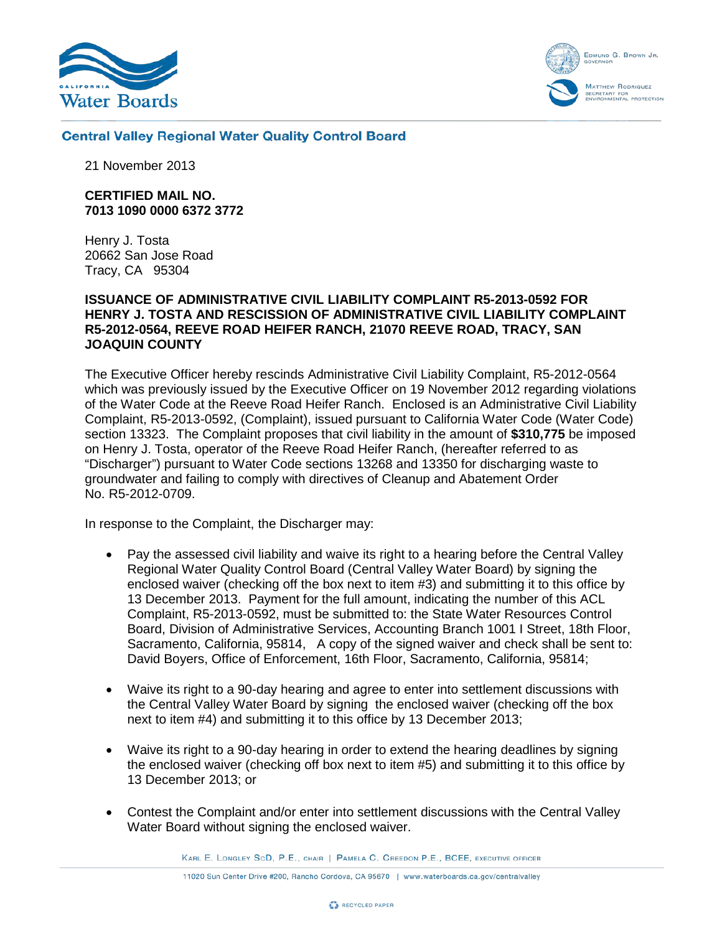



#### **Central Valley Regional Water Quality Control Board**

21 November 2013

#### **CERTIFIED MAIL NO. 7013 1090 0000 6372 3772**

Henry J. Tosta 20662 San Jose Road Tracy, CA 95304

#### **ISSUANCE OF ADMINISTRATIVE CIVIL LIABILITY COMPLAINT R5-2013-0592 FOR HENRY J. TOSTA AND RESCISSION OF ADMINISTRATIVE CIVIL LIABILITY COMPLAINT R5-2012-0564, REEVE ROAD HEIFER RANCH, 21070 REEVE ROAD, TRACY, SAN JOAQUIN COUNTY**

The Executive Officer hereby rescinds Administrative Civil Liability Complaint, R5-2012-0564 which was previously issued by the Executive Officer on 19 November 2012 regarding violations of the Water Code at the Reeve Road Heifer Ranch. Enclosed is an Administrative Civil Liability Complaint, R5-2013-0592, (Complaint), issued pursuant to California Water Code (Water Code) section 13323. The Complaint proposes that civil liability in the amount of **\$310,775** be imposed on Henry J. Tosta, operator of the Reeve Road Heifer Ranch, (hereafter referred to as "Discharger") pursuant to Water Code sections 13268 and 13350 for discharging waste to groundwater and failing to comply with directives of Cleanup and Abatement Order No. R5-2012-0709.

In response to the Complaint, the Discharger may:

- Pay the assessed civil liability and waive its right to a hearing before the Central Valley Regional Water Quality Control Board (Central Valley Water Board) by signing the enclosed waiver (checking off the box next to item #3) and submitting it to this office by 13 December 2013. Payment for the full amount, indicating the number of this ACL Complaint, R5-2013-0592, must be submitted to: the State Water Resources Control Board, Division of Administrative Services, Accounting Branch 1001 I Street, 18th Floor, Sacramento, California, 95814, A copy of the signed waiver and check shall be sent to: David Boyers, Office of Enforcement, 16th Floor, Sacramento, California, 95814;
- Waive its right to a 90-day hearing and agree to enter into settlement discussions with the Central Valley Water Board by signing the enclosed waiver (checking off the box next to item #4) and submitting it to this office by 13 December 2013;
- Waive its right to a 90-day hearing in order to extend the hearing deadlines by signing the enclosed waiver (checking off box next to item #5) and submitting it to this office by 13 December 2013; or
- Contest the Complaint and/or enter into settlement discussions with the Central Valley Water Board without signing the enclosed waiver.

KARL E. LONGLEY SCD, P.E., CHAIR | PAMELA C. CREEDON P.E., BCEE, EXECUTIVE OFFICER

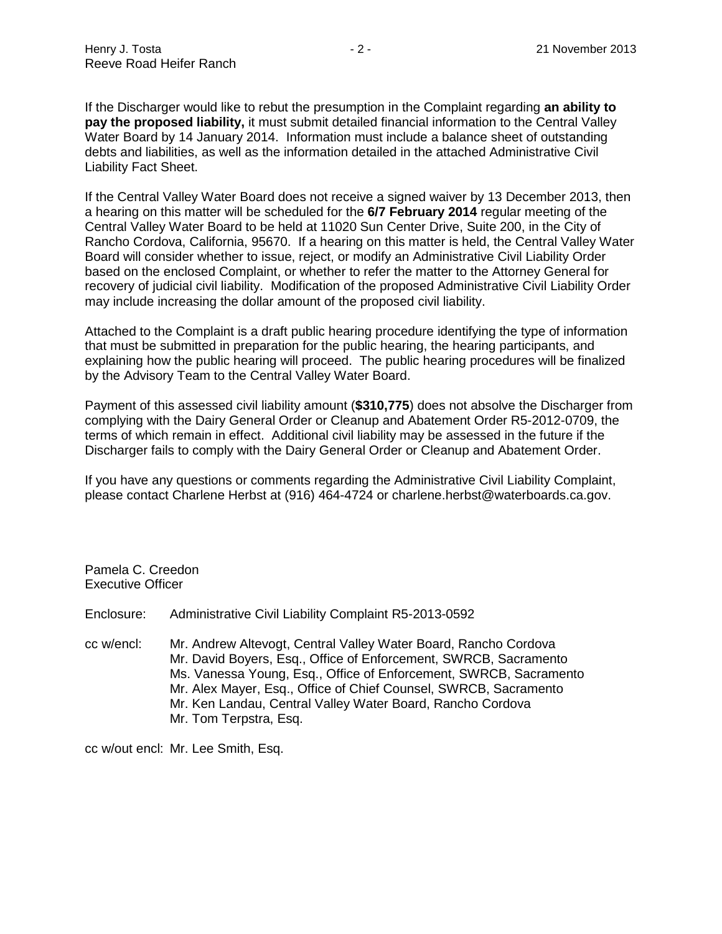If the Discharger would like to rebut the presumption in the Complaint regarding **an ability to pay the proposed liability,** it must submit detailed financial information to the Central Valley Water Board by 14 January 2014. Information must include a balance sheet of outstanding debts and liabilities, as well as the information detailed in the attached Administrative Civil Liability Fact Sheet.

If the Central Valley Water Board does not receive a signed waiver by 13 December 2013, then a hearing on this matter will be scheduled for the **6/7 February 2014** regular meeting of the Central Valley Water Board to be held at 11020 Sun Center Drive, Suite 200, in the City of Rancho Cordova, California, 95670. If a hearing on this matter is held, the Central Valley Water Board will consider whether to issue, reject, or modify an Administrative Civil Liability Order based on the enclosed Complaint, or whether to refer the matter to the Attorney General for recovery of judicial civil liability. Modification of the proposed Administrative Civil Liability Order may include increasing the dollar amount of the proposed civil liability.

Attached to the Complaint is a draft public hearing procedure identifying the type of information that must be submitted in preparation for the public hearing, the hearing participants, and explaining how the public hearing will proceed. The public hearing procedures will be finalized by the Advisory Team to the Central Valley Water Board.

Payment of this assessed civil liability amount (**\$310,775**) does not absolve the Discharger from complying with the Dairy General Order or Cleanup and Abatement Order R5-2012-0709, the terms of which remain in effect. Additional civil liability may be assessed in the future if the Discharger fails to comply with the Dairy General Order or Cleanup and Abatement Order.

If you have any questions or comments regarding the Administrative Civil Liability Complaint, please contact Charlene Herbst at (916) 464-4724 or charlene.herbst@waterboards.ca.gov.

Pamela C. Creedon Executive Officer

Enclosure: Administrative Civil Liability Complaint R5-2013-0592

cc w/encl: Mr. Andrew Altevogt, Central Valley Water Board, Rancho Cordova Mr. David Boyers, Esq., Office of Enforcement, SWRCB, Sacramento Ms. Vanessa Young, Esq., Office of Enforcement, SWRCB, Sacramento Mr. Alex Mayer, Esq., Office of Chief Counsel, SWRCB, Sacramento Mr. Ken Landau, Central Valley Water Board, Rancho Cordova Mr. Tom Terpstra, Esq.

cc w/out encl: Mr. Lee Smith, Esq.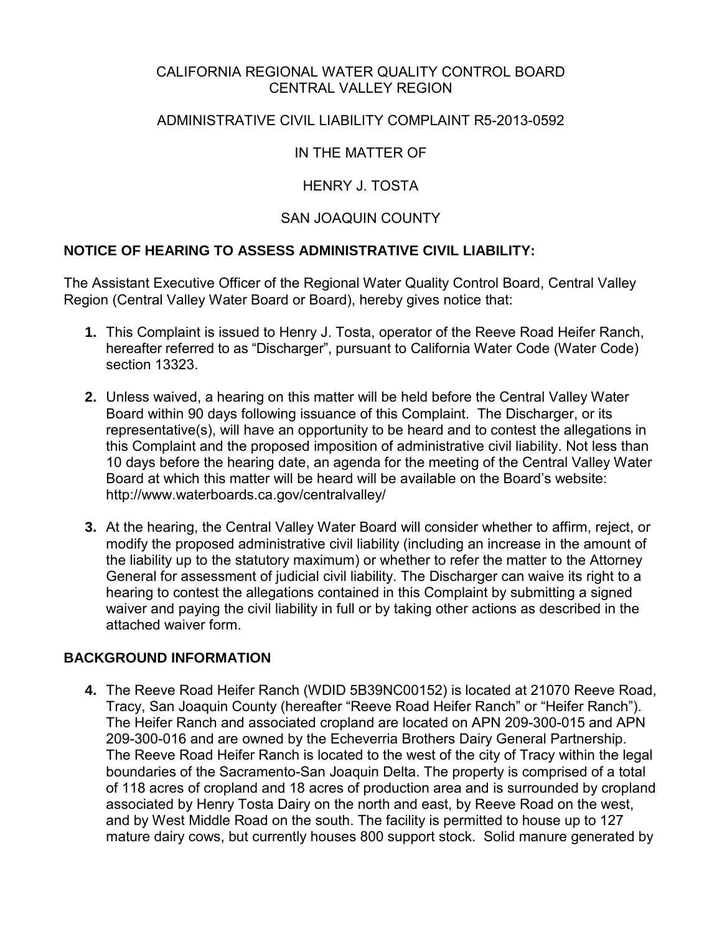#### CALIFORNIA REGIONAL WATER QUALITY CONTROL BOARD CENTRAL VALLEY REGION

#### ADMINISTRATIVE CIVIL LIABILITY COMPLAINT R5-2013-0592

# IN THE MATTER OF

### HENRY J. TOSTA

#### SAN JOAQUIN COUNTY

#### **NOTICE OF HEARING TO ASSESS ADMINISTRATIVE CIVIL LIABILITY:**

The Assistant Executive Officer of the Regional Water Quality Control Board, Central Valley Region (Central Valley Water Board or Board), hereby gives notice that:

- **1.** This Complaint is issued to Henry J. Tosta, operator of the Reeve Road Heifer Ranch, hereafter referred to as "Discharger", pursuant to California Water Code (Water Code) section 13323.
- **2.** Unless waived, a hearing on this matter will be held before the Central Valley Water Board within 90 days following issuance of this Complaint. The Discharger, or its representative(s), will have an opportunity to be heard and to contest the allegations in this Complaint and the proposed imposition of administrative civil liability. Not less than 10 days before the hearing date, an agenda for the meeting of the Central Valley Water Board at which this matter will be heard will be available on the Board's website: http://www.waterboards.ca.gov/centralvalley/
- **3.** At the hearing, the Central Valley Water Board will consider whether to affirm, reject, or modify the proposed administrative civil liability (including an increase in the amount of the liability up to the statutory maximum) or whether to refer the matter to the Attorney General for assessment of judicial civil liability. The Discharger can waive its right to a hearing to contest the allegations contained in this Complaint by submitting a signed waiver and paying the civil liability in full or by taking other actions as described in the attached waiver form.

# **BACKGROUND INFORMATION**

**4.** The Reeve Road Heifer Ranch (WDID 5B39NC00152) is located at 21070 Reeve Road, Tracy, San Joaquin County (hereafter "Reeve Road Heifer Ranch" or "Heifer Ranch"). The Heifer Ranch and associated cropland are located on APN 209-300-015 and APN 209-300-016 and are owned by the Echeverria Brothers Dairy General Partnership. The Reeve Road Heifer Ranch is located to the west of the city of Tracy within the legal boundaries of the Sacramento-San Joaquin Delta. The property is comprised of a total of 118 acres of cropland and 18 acres of production area and is surrounded by cropland associated by Henry Tosta Dairy on the north and east, by Reeve Road on the west, and by West Middle Road on the south. The facility is permitted to house up to 127 mature dairy cows, but currently houses 800 support stock. Solid manure generated by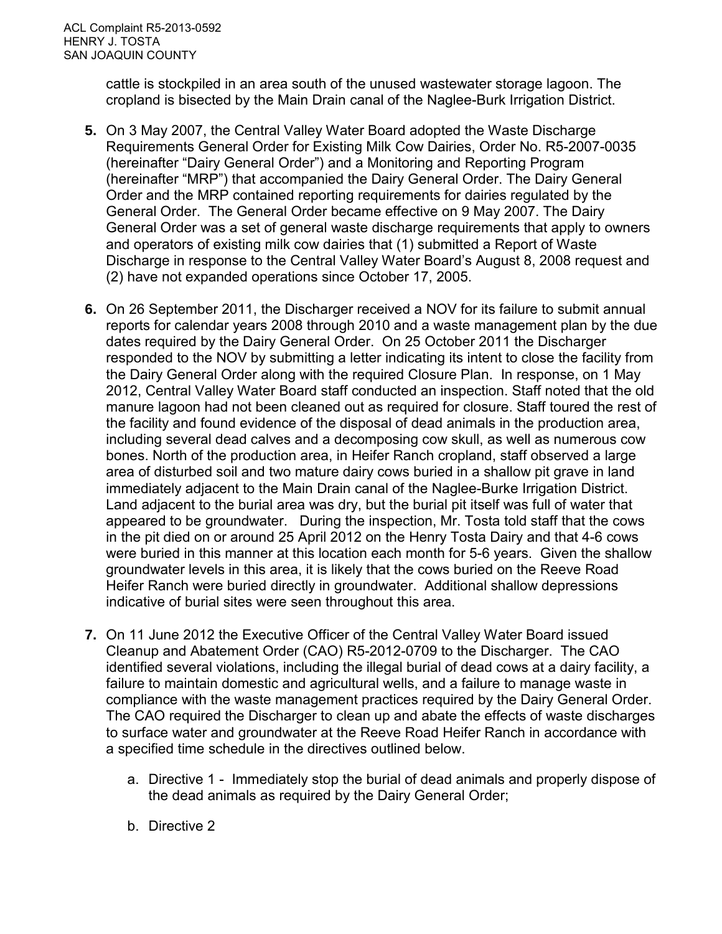cattle is stockpiled in an area south of the unused wastewater storage lagoon. The cropland is bisected by the Main Drain canal of the Naglee-Burk Irrigation District.

- **5.** On 3 May 2007, the Central Valley Water Board adopted the Waste Discharge Requirements General Order for Existing Milk Cow Dairies, Order No. R5-2007-0035 (hereinafter "Dairy General Order") and a Monitoring and Reporting Program (hereinafter "MRP") that accompanied the Dairy General Order. The Dairy General Order and the MRP contained reporting requirements for dairies regulated by the General Order. The General Order became effective on 9 May 2007. The Dairy General Order was a set of general waste discharge requirements that apply to owners and operators of existing milk cow dairies that (1) submitted a Report of Waste Discharge in response to the Central Valley Water Board's August 8, 2008 request and (2) have not expanded operations since October 17, 2005.
- **6.** On 26 September 2011, the Discharger received a NOV for its failure to submit annual reports for calendar years 2008 through 2010 and a waste management plan by the due dates required by the Dairy General Order. On 25 October 2011 the Discharger responded to the NOV by submitting a letter indicating its intent to close the facility from the Dairy General Order along with the required Closure Plan. In response, on 1 May 2012, Central Valley Water Board staff conducted an inspection. Staff noted that the old manure lagoon had not been cleaned out as required for closure. Staff toured the rest of the facility and found evidence of the disposal of dead animals in the production area, including several dead calves and a decomposing cow skull, as well as numerous cow bones. North of the production area, in Heifer Ranch cropland, staff observed a large area of disturbed soil and two mature dairy cows buried in a shallow pit grave in land immediately adjacent to the Main Drain canal of the Naglee-Burke Irrigation District. Land adjacent to the burial area was dry, but the burial pit itself was full of water that appeared to be groundwater. During the inspection, Mr. Tosta told staff that the cows in the pit died on or around 25 April 2012 on the Henry Tosta Dairy and that 4-6 cows were buried in this manner at this location each month for 5-6 years. Given the shallow groundwater levels in this area, it is likely that the cows buried on the Reeve Road Heifer Ranch were buried directly in groundwater. Additional shallow depressions indicative of burial sites were seen throughout this area.
- **7.** On 11 June 2012 the Executive Officer of the Central Valley Water Board issued Cleanup and Abatement Order (CAO) R5-2012-0709 to the Discharger. The CAO identified several violations, including the illegal burial of dead cows at a dairy facility, a failure to maintain domestic and agricultural wells, and a failure to manage waste in compliance with the waste management practices required by the Dairy General Order. The CAO required the Discharger to clean up and abate the effects of waste discharges to surface water and groundwater at the Reeve Road Heifer Ranch in accordance with a specified time schedule in the directives outlined below.
	- a. Directive 1 Immediately stop the burial of dead animals and properly dispose of the dead animals as required by the Dairy General Order;
	- b. Directive 2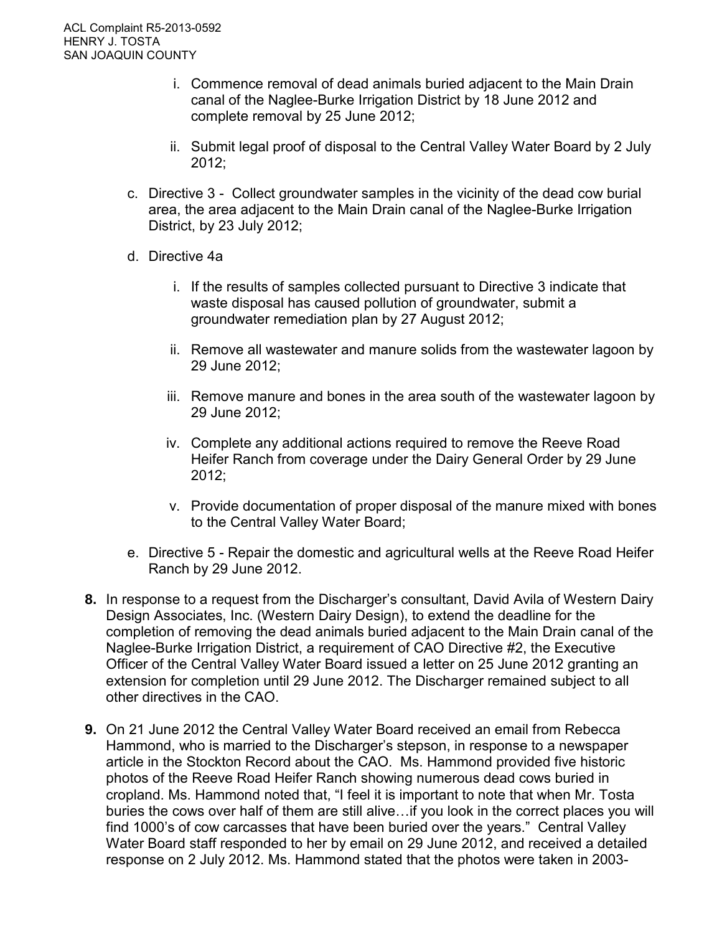- i. Commence removal of dead animals buried adjacent to the Main Drain canal of the Naglee-Burke Irrigation District by 18 June 2012 and complete removal by 25 June 2012;
- ii. Submit legal proof of disposal to the Central Valley Water Board by 2 July 2012;
- c. Directive 3 Collect groundwater samples in the vicinity of the dead cow burial area, the area adjacent to the Main Drain canal of the Naglee-Burke Irrigation District, by 23 July 2012;
- d. Directive 4a
	- i. If the results of samples collected pursuant to Directive 3 indicate that waste disposal has caused pollution of groundwater, submit a groundwater remediation plan by 27 August 2012;
	- ii. Remove all wastewater and manure solids from the wastewater lagoon by 29 June 2012;
	- iii. Remove manure and bones in the area south of the wastewater lagoon by 29 June 2012;
	- iv. Complete any additional actions required to remove the Reeve Road Heifer Ranch from coverage under the Dairy General Order by 29 June 2012;
	- v. Provide documentation of proper disposal of the manure mixed with bones to the Central Valley Water Board;
- e. Directive 5 Repair the domestic and agricultural wells at the Reeve Road Heifer Ranch by 29 June 2012.
- **8.** In response to a request from the Discharger's consultant, David Avila of Western Dairy Design Associates, Inc. (Western Dairy Design), to extend the deadline for the completion of removing the dead animals buried adjacent to the Main Drain canal of the Naglee-Burke Irrigation District, a requirement of CAO Directive #2, the Executive Officer of the Central Valley Water Board issued a letter on 25 June 2012 granting an extension for completion until 29 June 2012. The Discharger remained subject to all other directives in the CAO.
- **9.** On 21 June 2012 the Central Valley Water Board received an email from Rebecca Hammond, who is married to the Discharger's stepson, in response to a newspaper article in the Stockton Record about the CAO. Ms. Hammond provided five historic photos of the Reeve Road Heifer Ranch showing numerous dead cows buried in cropland. Ms. Hammond noted that, "I feel it is important to note that when Mr. Tosta buries the cows over half of them are still alive…if you look in the correct places you will find 1000's of cow carcasses that have been buried over the years." Central Valley Water Board staff responded to her by email on 29 June 2012, and received a detailed response on 2 July 2012. Ms. Hammond stated that the photos were taken in 2003-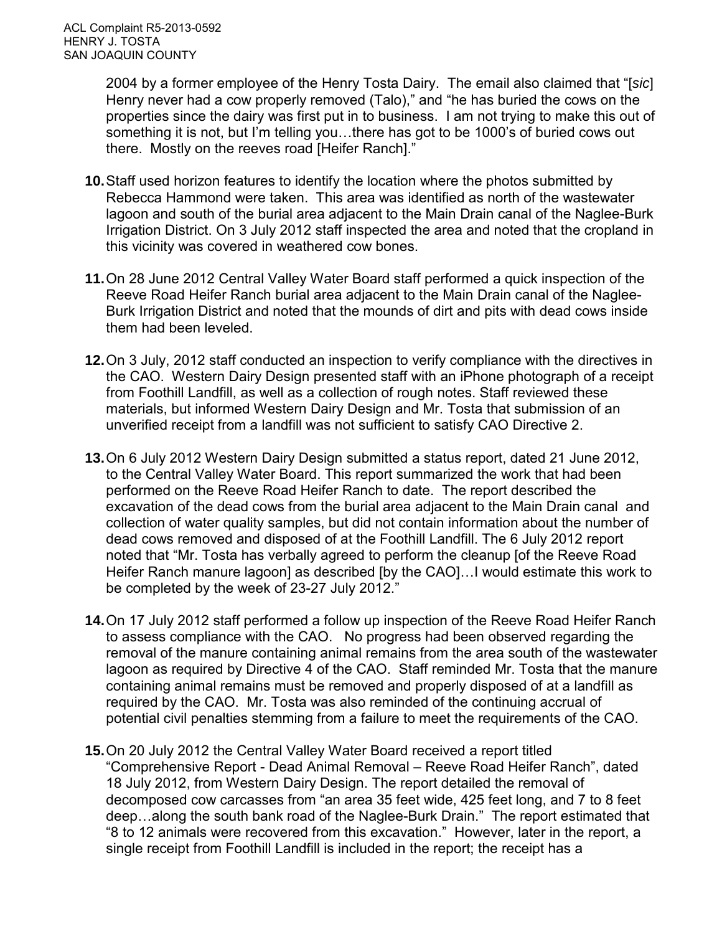2004 by a former employee of the Henry Tosta Dairy. The email also claimed that "[*sic*] Henry never had a cow properly removed (Talo)," and "he has buried the cows on the properties since the dairy was first put in to business. I am not trying to make this out of something it is not, but I'm telling you…there has got to be 1000's of buried cows out there. Mostly on the reeves road [Heifer Ranch]."

- **10.**Staff used horizon features to identify the location where the photos submitted by Rebecca Hammond were taken. This area was identified as north of the wastewater lagoon and south of the burial area adjacent to the Main Drain canal of the Naglee-Burk Irrigation District. On 3 July 2012 staff inspected the area and noted that the cropland in this vicinity was covered in weathered cow bones.
- **11.**On 28 June 2012 Central Valley Water Board staff performed a quick inspection of the Reeve Road Heifer Ranch burial area adjacent to the Main Drain canal of the Naglee-Burk Irrigation District and noted that the mounds of dirt and pits with dead cows inside them had been leveled.
- **12.**On 3 July, 2012 staff conducted an inspection to verify compliance with the directives in the CAO. Western Dairy Design presented staff with an iPhone photograph of a receipt from Foothill Landfill, as well as a collection of rough notes. Staff reviewed these materials, but informed Western Dairy Design and Mr. Tosta that submission of an unverified receipt from a landfill was not sufficient to satisfy CAO Directive 2.
- **13.**On 6 July 2012 Western Dairy Design submitted a status report, dated 21 June 2012, to the Central Valley Water Board. This report summarized the work that had been performed on the Reeve Road Heifer Ranch to date. The report described the excavation of the dead cows from the burial area adjacent to the Main Drain canal and collection of water quality samples, but did not contain information about the number of dead cows removed and disposed of at the Foothill Landfill. The 6 July 2012 report noted that "Mr. Tosta has verbally agreed to perform the cleanup [of the Reeve Road Heifer Ranch manure lagoon] as described [by the CAO]…I would estimate this work to be completed by the week of 23-27 July 2012."
- **14.**On 17 July 2012 staff performed a follow up inspection of the Reeve Road Heifer Ranch to assess compliance with the CAO. No progress had been observed regarding the removal of the manure containing animal remains from the area south of the wastewater lagoon as required by Directive 4 of the CAO. Staff reminded Mr. Tosta that the manure containing animal remains must be removed and properly disposed of at a landfill as required by the CAO. Mr. Tosta was also reminded of the continuing accrual of potential civil penalties stemming from a failure to meet the requirements of the CAO.
- **15.**On 20 July 2012 the Central Valley Water Board received a report titled "Comprehensive Report - Dead Animal Removal – Reeve Road Heifer Ranch", dated 18 July 2012, from Western Dairy Design. The report detailed the removal of decomposed cow carcasses from "an area 35 feet wide, 425 feet long, and 7 to 8 feet deep…along the south bank road of the Naglee-Burk Drain." The report estimated that "8 to 12 animals were recovered from this excavation." However, later in the report, a single receipt from Foothill Landfill is included in the report; the receipt has a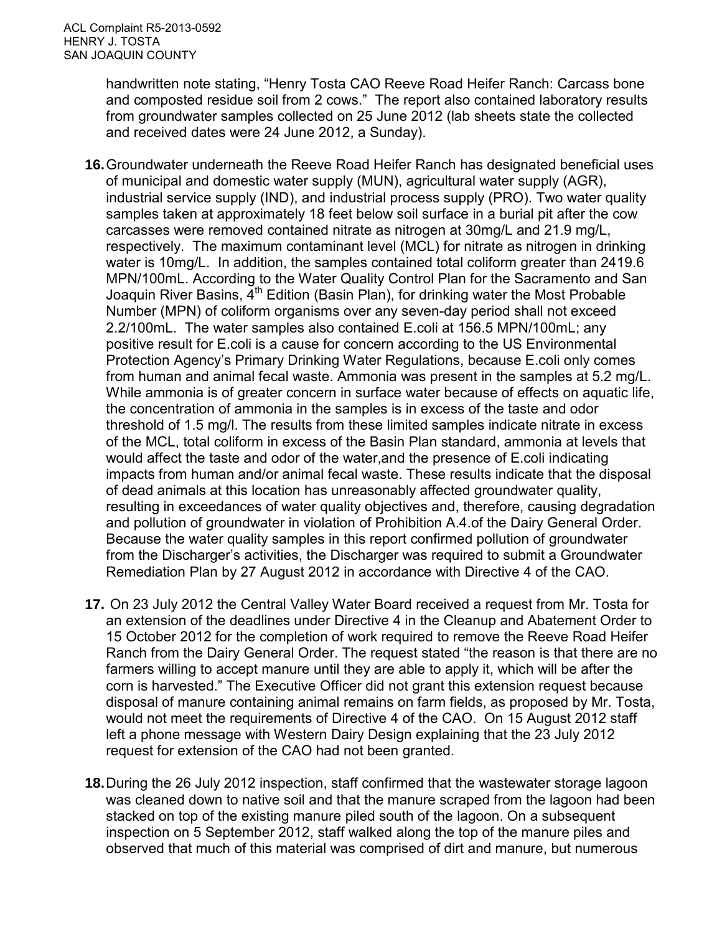handwritten note stating, "Henry Tosta CAO Reeve Road Heifer Ranch: Carcass bone and composted residue soil from 2 cows." The report also contained laboratory results from groundwater samples collected on 25 June 2012 (lab sheets state the collected and received dates were 24 June 2012, a Sunday).

- **16.**Groundwater underneath the Reeve Road Heifer Ranch has designated beneficial uses of municipal and domestic water supply (MUN), agricultural water supply (AGR), industrial service supply (IND), and industrial process supply (PRO). Two water quality samples taken at approximately 18 feet below soil surface in a burial pit after the cow carcasses were removed contained nitrate as nitrogen at 30mg/L and 21.9 mg/L, respectively. The maximum contaminant level (MCL) for nitrate as nitrogen in drinking water is 10mg/L. In addition, the samples contained total coliform greater than 2419.6 MPN/100mL. According to the Water Quality Control Plan for the Sacramento and San Joaquin River Basins,  $\tilde{4}^{th}$  Edition (Basin Plan), for drinking water the Most Probable Number (MPN) of coliform organisms over any seven-day period shall not exceed 2.2/100mL. The water samples also contained E.coli at 156.5 MPN/100mL; any positive result for E.coli is a cause for concern according to the US Environmental Protection Agency's Primary Drinking Water Regulations, because E.coli only comes from human and animal fecal waste. Ammonia was present in the samples at 5.2 mg/L. While ammonia is of greater concern in surface water because of effects on aquatic life, the concentration of ammonia in the samples is in excess of the taste and odor threshold of 1.5 mg/l. The results from these limited samples indicate nitrate in excess of the MCL, total coliform in excess of the Basin Plan standard, ammonia at levels that would affect the taste and odor of the water,and the presence of E.coli indicating impacts from human and/or animal fecal waste. These results indicate that the disposal of dead animals at this location has unreasonably affected groundwater quality, resulting in exceedances of water quality objectives and, therefore, causing degradation and pollution of groundwater in violation of Prohibition A.4.of the Dairy General Order. Because the water quality samples in this report confirmed pollution of groundwater from the Discharger's activities, the Discharger was required to submit a Groundwater Remediation Plan by 27 August 2012 in accordance with Directive 4 of the CAO.
- **17.** On 23 July 2012 the Central Valley Water Board received a request from Mr. Tosta for an extension of the deadlines under Directive 4 in the Cleanup and Abatement Order to 15 October 2012 for the completion of work required to remove the Reeve Road Heifer Ranch from the Dairy General Order. The request stated "the reason is that there are no farmers willing to accept manure until they are able to apply it, which will be after the corn is harvested." The Executive Officer did not grant this extension request because disposal of manure containing animal remains on farm fields, as proposed by Mr. Tosta, would not meet the requirements of Directive 4 of the CAO. On 15 August 2012 staff left a phone message with Western Dairy Design explaining that the 23 July 2012 request for extension of the CAO had not been granted.
- **18.**During the 26 July 2012 inspection, staff confirmed that the wastewater storage lagoon was cleaned down to native soil and that the manure scraped from the lagoon had been stacked on top of the existing manure piled south of the lagoon. On a subsequent inspection on 5 September 2012, staff walked along the top of the manure piles and observed that much of this material was comprised of dirt and manure, but numerous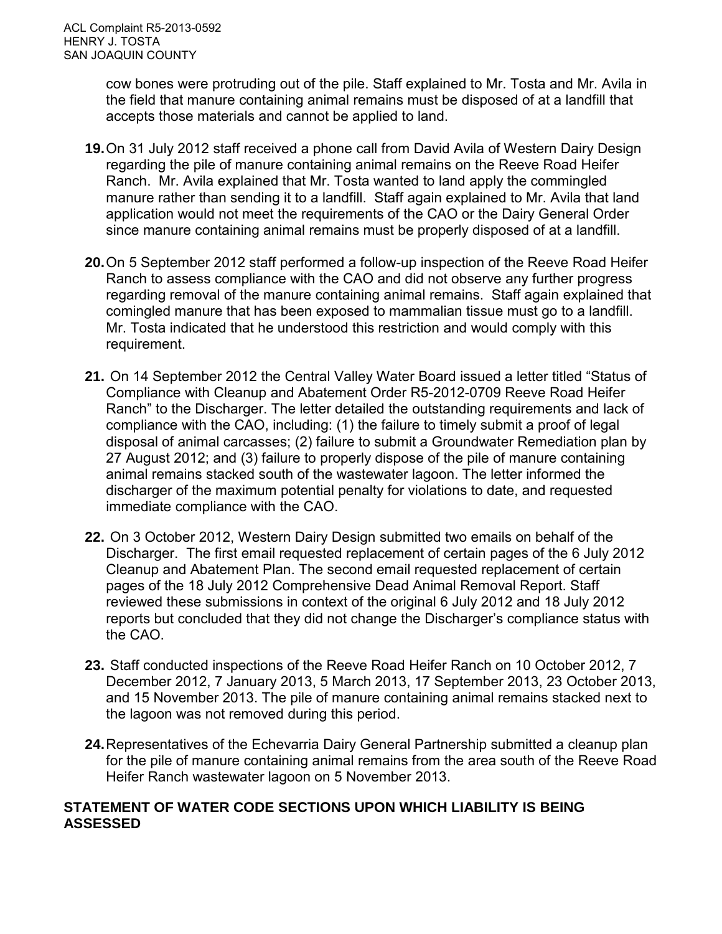cow bones were protruding out of the pile. Staff explained to Mr. Tosta and Mr. Avila in the field that manure containing animal remains must be disposed of at a landfill that accepts those materials and cannot be applied to land.

- **19.**On 31 July 2012 staff received a phone call from David Avila of Western Dairy Design regarding the pile of manure containing animal remains on the Reeve Road Heifer Ranch. Mr. Avila explained that Mr. Tosta wanted to land apply the commingled manure rather than sending it to a landfill. Staff again explained to Mr. Avila that land application would not meet the requirements of the CAO or the Dairy General Order since manure containing animal remains must be properly disposed of at a landfill.
- **20.**On 5 September 2012 staff performed a follow-up inspection of the Reeve Road Heifer Ranch to assess compliance with the CAO and did not observe any further progress regarding removal of the manure containing animal remains. Staff again explained that comingled manure that has been exposed to mammalian tissue must go to a landfill. Mr. Tosta indicated that he understood this restriction and would comply with this requirement.
- **21.** On 14 September 2012 the Central Valley Water Board issued a letter titled "Status of Compliance with Cleanup and Abatement Order R5-2012-0709 Reeve Road Heifer Ranch" to the Discharger. The letter detailed the outstanding requirements and lack of compliance with the CAO, including: (1) the failure to timely submit a proof of legal disposal of animal carcasses; (2) failure to submit a Groundwater Remediation plan by 27 August 2012; and (3) failure to properly dispose of the pile of manure containing animal remains stacked south of the wastewater lagoon. The letter informed the discharger of the maximum potential penalty for violations to date, and requested immediate compliance with the CAO.
- **22.** On 3 October 2012, Western Dairy Design submitted two emails on behalf of the Discharger. The first email requested replacement of certain pages of the 6 July 2012 Cleanup and Abatement Plan. The second email requested replacement of certain pages of the 18 July 2012 Comprehensive Dead Animal Removal Report. Staff reviewed these submissions in context of the original 6 July 2012 and 18 July 2012 reports but concluded that they did not change the Discharger's compliance status with the CAO.
- **23.** Staff conducted inspections of the Reeve Road Heifer Ranch on 10 October 2012, 7 December 2012, 7 January 2013, 5 March 2013, 17 September 2013, 23 October 2013, and 15 November 2013. The pile of manure containing animal remains stacked next to the lagoon was not removed during this period.
- **24.**Representatives of the Echevarria Dairy General Partnership submitted a cleanup plan for the pile of manure containing animal remains from the area south of the Reeve Road Heifer Ranch wastewater lagoon on 5 November 2013.

#### **STATEMENT OF WATER CODE SECTIONS UPON WHICH LIABILITY IS BEING ASSESSED**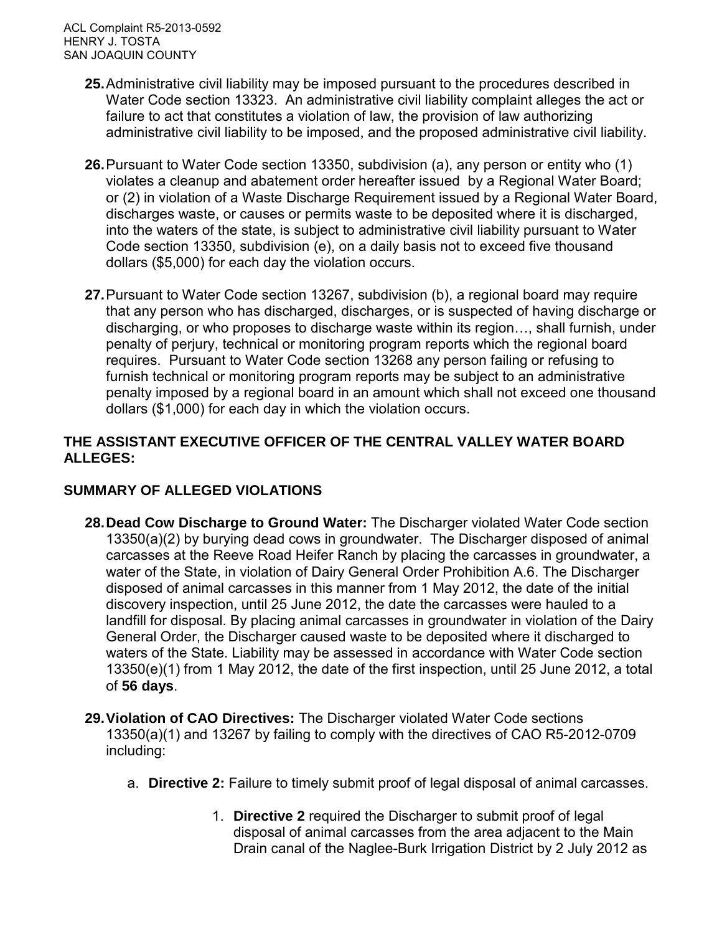ACL Complaint R5-2013-0592 HENRY J. TOSTA SAN JOAQUIN COUNTY

- **25.**Administrative civil liability may be imposed pursuant to the procedures described in Water Code section 13323. An administrative civil liability complaint alleges the act or failure to act that constitutes a violation of law, the provision of law authorizing administrative civil liability to be imposed, and the proposed administrative civil liability.
- **26.**Pursuant to Water Code section 13350, subdivision (a), any person or entity who (1) violates a cleanup and abatement order hereafter issued by a Regional Water Board; or (2) in violation of a Waste Discharge Requirement issued by a Regional Water Board, discharges waste, or causes or permits waste to be deposited where it is discharged, into the waters of the state, is subject to administrative civil liability pursuant to Water Code section 13350, subdivision (e), on a daily basis not to exceed five thousand dollars (\$5,000) for each day the violation occurs.
- **27.**Pursuant to Water Code section 13267, subdivision (b), a regional board may require that any person who has discharged, discharges, or is suspected of having discharge or discharging, or who proposes to discharge waste within its region…, shall furnish, under penalty of perjury, technical or monitoring program reports which the regional board requires. Pursuant to Water Code section 13268 any person failing or refusing to furnish technical or monitoring program reports may be subject to an administrative penalty imposed by a regional board in an amount which shall not exceed one thousand dollars (\$1,000) for each day in which the violation occurs.

#### **THE ASSISTANT EXECUTIVE OFFICER OF THE CENTRAL VALLEY WATER BOARD ALLEGES:**

#### **SUMMARY OF ALLEGED VIOLATIONS**

- **28.Dead Cow Discharge to Ground Water:** The Discharger violated Water Code section 13350(a)(2) by burying dead cows in groundwater. The Discharger disposed of animal carcasses at the Reeve Road Heifer Ranch by placing the carcasses in groundwater, a water of the State, in violation of Dairy General Order Prohibition A.6. The Discharger disposed of animal carcasses in this manner from 1 May 2012, the date of the initial discovery inspection, until 25 June 2012, the date the carcasses were hauled to a landfill for disposal. By placing animal carcasses in groundwater in violation of the Dairy General Order, the Discharger caused waste to be deposited where it discharged to waters of the State. Liability may be assessed in accordance with Water Code section 13350(e)(1) from 1 May 2012, the date of the first inspection, until 25 June 2012, a total of **56 days**.
- **29.Violation of CAO Directives:** The Discharger violated Water Code sections 13350(a)(1) and 13267 by failing to comply with the directives of CAO R5-2012-0709 including:
	- a. **Directive 2:** Failure to timely submit proof of legal disposal of animal carcasses.
		- 1. **Directive 2** required the Discharger to submit proof of legal disposal of animal carcasses from the area adjacent to the Main Drain canal of the Naglee-Burk Irrigation District by 2 July 2012 as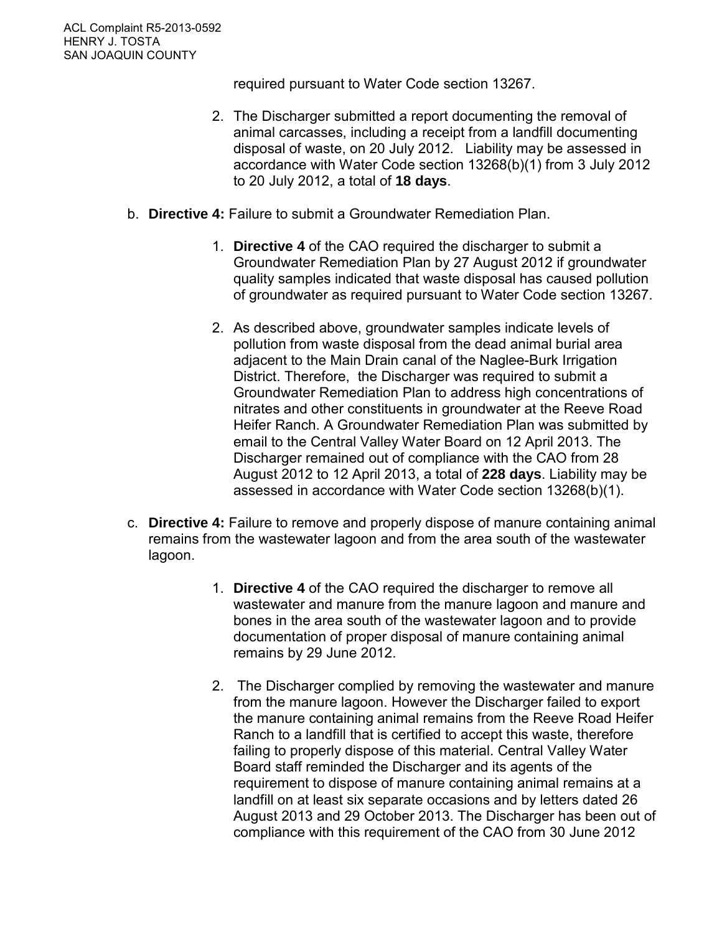required pursuant to Water Code section 13267.

- 2. The Discharger submitted a report documenting the removal of animal carcasses, including a receipt from a landfill documenting disposal of waste, on 20 July 2012. Liability may be assessed in accordance with Water Code section 13268(b)(1) from 3 July 2012 to 20 July 2012, a total of **18 days**.
- b. **Directive 4:** Failure to submit a Groundwater Remediation Plan.
	- 1. **Directive 4** of the CAO required the discharger to submit a Groundwater Remediation Plan by 27 August 2012 if groundwater quality samples indicated that waste disposal has caused pollution of groundwater as required pursuant to Water Code section 13267.
	- 2. As described above, groundwater samples indicate levels of pollution from waste disposal from the dead animal burial area adjacent to the Main Drain canal of the Naglee-Burk Irrigation District. Therefore, the Discharger was required to submit a Groundwater Remediation Plan to address high concentrations of nitrates and other constituents in groundwater at the Reeve Road Heifer Ranch. A Groundwater Remediation Plan was submitted by email to the Central Valley Water Board on 12 April 2013. The Discharger remained out of compliance with the CAO from 28 August 2012 to 12 April 2013, a total of **228 days**. Liability may be assessed in accordance with Water Code section 13268(b)(1).
- c. **Directive 4:** Failure to remove and properly dispose of manure containing animal remains from the wastewater lagoon and from the area south of the wastewater lagoon.
	- 1. **Directive 4** of the CAO required the discharger to remove all wastewater and manure from the manure lagoon and manure and bones in the area south of the wastewater lagoon and to provide documentation of proper disposal of manure containing animal remains by 29 June 2012.
	- 2. The Discharger complied by removing the wastewater and manure from the manure lagoon. However the Discharger failed to export the manure containing animal remains from the Reeve Road Heifer Ranch to a landfill that is certified to accept this waste, therefore failing to properly dispose of this material. Central Valley Water Board staff reminded the Discharger and its agents of the requirement to dispose of manure containing animal remains at a landfill on at least six separate occasions and by letters dated 26 August 2013 and 29 October 2013. The Discharger has been out of compliance with this requirement of the CAO from 30 June 2012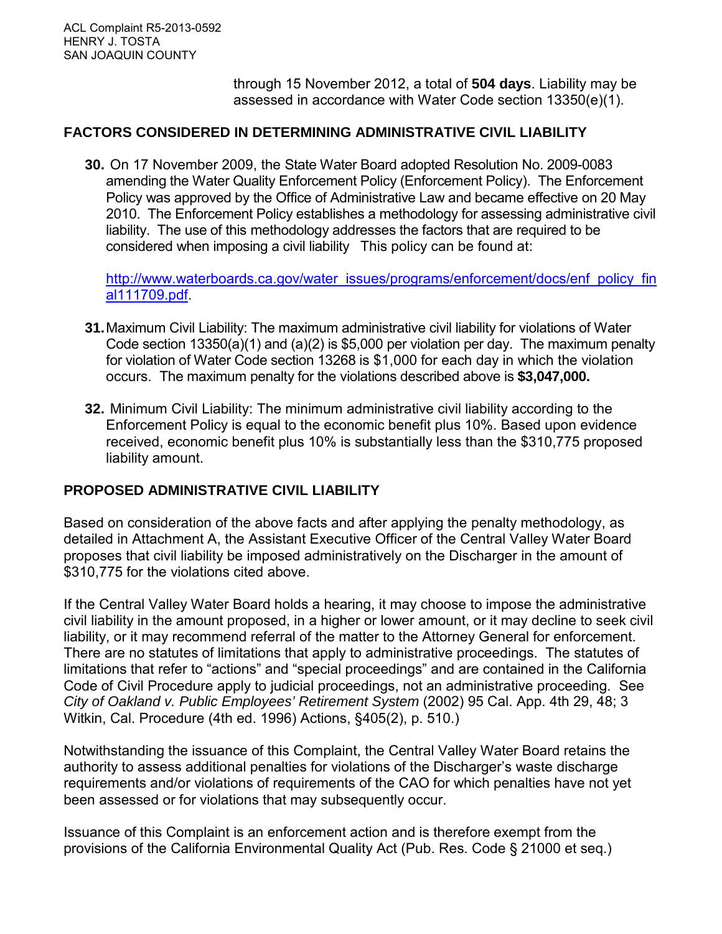through 15 November 2012, a total of **504 days**. Liability may be assessed in accordance with Water Code section 13350(e)(1).

#### **FACTORS CONSIDERED IN DETERMINING ADMINISTRATIVE CIVIL LIABILITY**

**30.** On 17 November 2009, the State Water Board adopted Resolution No. 2009-0083 amending the Water Quality Enforcement Policy (Enforcement Policy). The Enforcement Policy was approved by the Office of Administrative Law and became effective on 20 May 2010. The Enforcement Policy establishes a methodology for assessing administrative civil liability. The use of this methodology addresses the factors that are required to be considered when imposing a civil liability This policy can be found at:

[http://www.waterboards.ca.gov/water\\_issues/programs/enforcement/docs/enf\\_policy\\_fin](http://www.waterboards.ca.gov/water_issues/programs/enforcement/docs/enf_policy_final111709.pdf) [al111709.pdf.](http://www.waterboards.ca.gov/water_issues/programs/enforcement/docs/enf_policy_final111709.pdf)

- **31.**Maximum Civil Liability: The maximum administrative civil liability for violations of Water Code section 13350(a)(1) and (a)(2) is \$5,000 per violation per day. The maximum penalty for violation of Water Code section 13268 is \$1,000 for each day in which the violation occurs. The maximum penalty for the violations described above is **\$3,047,000.**
- **32.** Minimum Civil Liability: The minimum administrative civil liability according to the Enforcement Policy is equal to the economic benefit plus 10%. Based upon evidence received, economic benefit plus 10% is substantially less than the \$310,775 proposed liability amount.

#### **PROPOSED ADMINISTRATIVE CIVIL LIABILITY**

Based on consideration of the above facts and after applying the penalty methodology, as detailed in Attachment A, the Assistant Executive Officer of the Central Valley Water Board proposes that civil liability be imposed administratively on the Discharger in the amount of \$310,775 for the violations cited above.

If the Central Valley Water Board holds a hearing, it may choose to impose the administrative civil liability in the amount proposed, in a higher or lower amount, or it may decline to seek civil liability, or it may recommend referral of the matter to the Attorney General for enforcement. There are no statutes of limitations that apply to administrative proceedings. The statutes of limitations that refer to "actions" and "special proceedings" and are contained in the California Code of Civil Procedure apply to judicial proceedings, not an administrative proceeding. See *City of Oakland v. Public Employees' Retirement System* (2002) 95 Cal. App. 4th 29, 48; 3 Witkin, Cal. Procedure (4th ed. 1996) Actions, §405(2), p. 510.)

Notwithstanding the issuance of this Complaint, the Central Valley Water Board retains the authority to assess additional penalties for violations of the Discharger's waste discharge requirements and/or violations of requirements of the CAO for which penalties have not yet been assessed or for violations that may subsequently occur.

Issuance of this Complaint is an enforcement action and is therefore exempt from the provisions of the California Environmental Quality Act (Pub. Res. Code § 21000 et seq.)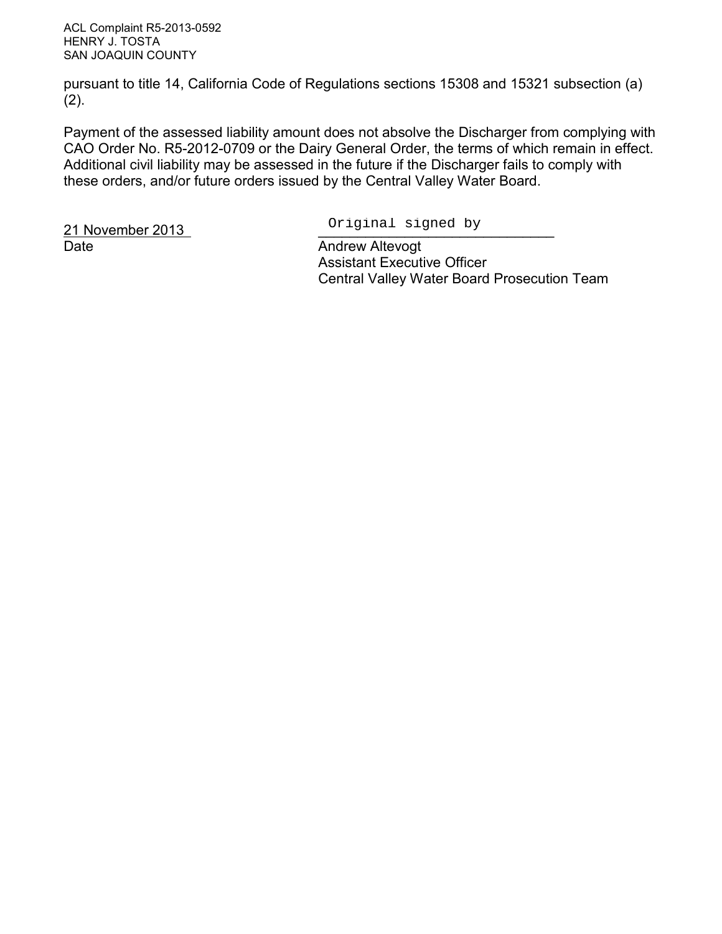ACL Complaint R5-2013-0592 HENRY J. TOSTA SAN JOAQUIN COUNTY

pursuant to title 14, California Code of Regulations sections 15308 and 15321 subsection (a)  $(2)$ .

Payment of the assessed liability amount does not absolve the Discharger from complying with CAO Order No. R5-2012-0709 or the Dairy General Order, the terms of which remain in effect. Additional civil liability may be assessed in the future if the Discharger fails to comply with these orders, and/or future orders issued by the Central Valley Water Board.

21 November 2013 Date **Date** Andrew Altevogt

Original signed by

 Assistant Executive Officer Central Valley Water Board Prosecution Team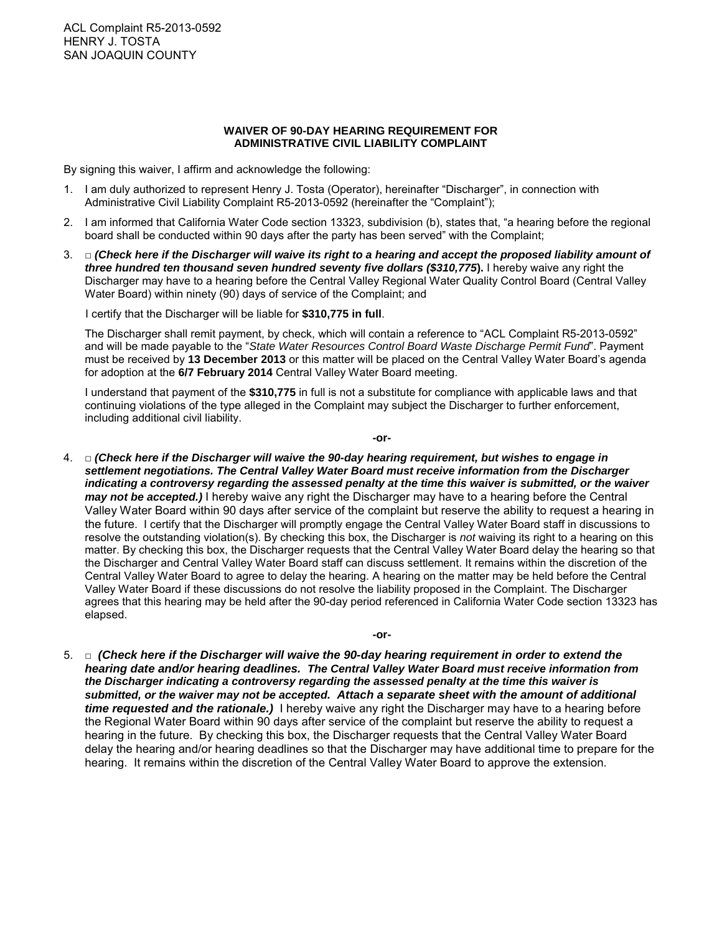#### **WAIVER OF 90-DAY HEARING REQUIREMENT FOR ADMINISTRATIVE CIVIL LIABILITY COMPLAINT**

By signing this waiver, I affirm and acknowledge the following:

- 1. I am duly authorized to represent Henry J. Tosta (Operator), hereinafter "Discharger", in connection with Administrative Civil Liability Complaint R5-2013-0592 (hereinafter the "Complaint");
- 2. I am informed that California Water Code section 13323, subdivision (b), states that, "a hearing before the regional board shall be conducted within 90 days after the party has been served" with the Complaint;
- 3. □ *(Check here if the Discharger will waive its right to a hearing and accept the proposed liability amount of three hundred ten thousand seven hundred seventy five dollars (\$310,775***).** I hereby waive any right the Discharger may have to a hearing before the Central Valley Regional Water Quality Control Board (Central Valley Water Board) within ninety (90) days of service of the Complaint; and

I certify that the Discharger will be liable for **\$310,775 in full**.

The Discharger shall remit payment, by check, which will contain a reference to "ACL Complaint R5-2013-0592" and will be made payable to the "*State Water Resources Control Board Waste Discharge Permit Fund*". Payment must be received by **13 December 2013** or this matter will be placed on the Central Valley Water Board's agenda for adoption at the **6/7 February 2014** Central Valley Water Board meeting.

I understand that payment of the **\$310,775** in full is not a substitute for compliance with applicable laws and that continuing violations of the type alleged in the Complaint may subject the Discharger to further enforcement, including additional civil liability.

**-or-**

- 4. □ *(Check here if the Discharger will waive the 90-day hearing requirement, but wishes to engage in settlement negotiations. The Central Valley Water Board must receive information from the Discharger indicating a controversy regarding the assessed penalty at the time this waiver is submitted, or the waiver may not be accepted.)* I hereby waive any right the Discharger may have to a hearing before the Central Valley Water Board within 90 days after service of the complaint but reserve the ability to request a hearing in the future. I certify that the Discharger will promptly engage the Central Valley Water Board staff in discussions to resolve the outstanding violation(s). By checking this box, the Discharger is *not* waiving its right to a hearing on this matter. By checking this box, the Discharger requests that the Central Valley Water Board delay the hearing so that the Discharger and Central Valley Water Board staff can discuss settlement. It remains within the discretion of the Central Valley Water Board to agree to delay the hearing. A hearing on the matter may be held before the Central Valley Water Board if these discussions do not resolve the liability proposed in the Complaint. The Discharger agrees that this hearing may be held after the 90-day period referenced in California Water Code section 13323 has elapsed.
- 5. □ *(Check here if the Discharger will waive the 90-day hearing requirement in order to extend the hearing date and/or hearing deadlines. The Central Valley Water Board must receive information from the Discharger indicating a controversy regarding the assessed penalty at the time this waiver is submitted, or the waiver may not be accepted. Attach a separate sheet with the amount of additional time requested and the rationale.)* I hereby waive any right the Discharger may have to a hearing before the Regional Water Board within 90 days after service of the complaint but reserve the ability to request a hearing in the future. By checking this box, the Discharger requests that the Central Valley Water Board delay the hearing and/or hearing deadlines so that the Discharger may have additional time to prepare for the hearing. It remains within the discretion of the Central Valley Water Board to approve the extension.

**-or-**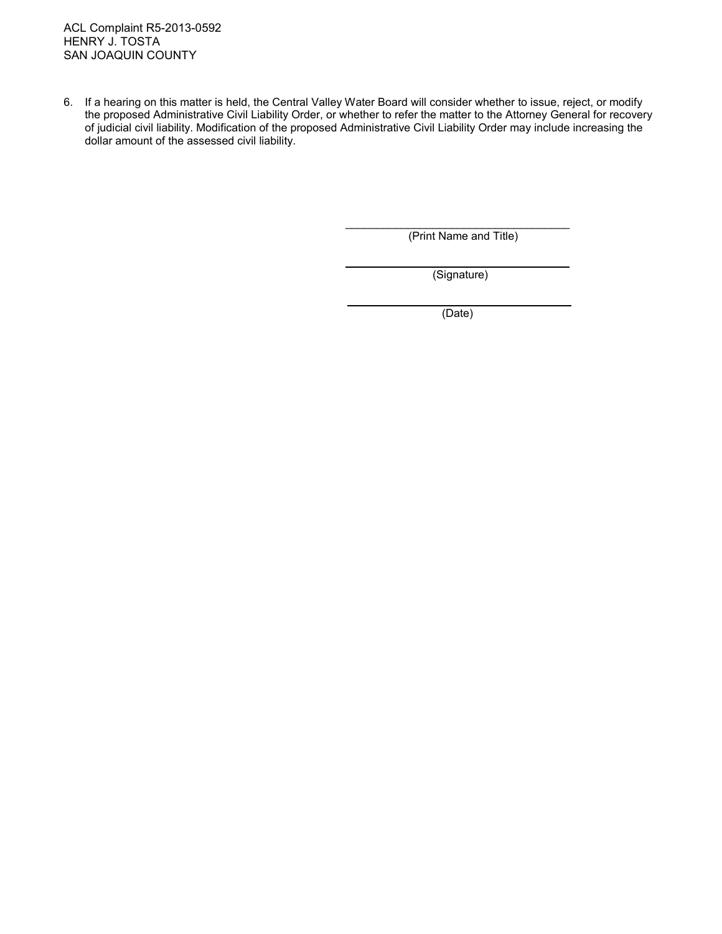ACL Complaint R5-2013-0592 HENRY J. TOSTA SAN JOAQUIN COUNTY

6. If a hearing on this matter is held, the Central Valley Water Board will consider whether to issue, reject, or modify the proposed Administrative Civil Liability Order, or whether to refer the matter to the Attorney General for recovery of judicial civil liability. Modification of the proposed Administrative Civil Liability Order may include increasing the dollar amount of the assessed civil liability.

 $\overline{a}$ 

l

\_\_\_\_\_\_\_\_\_\_\_\_\_\_\_\_\_\_\_\_\_\_\_\_\_\_\_\_\_\_\_\_\_\_\_\_ (Print Name and Title)

(Signature)

(Date)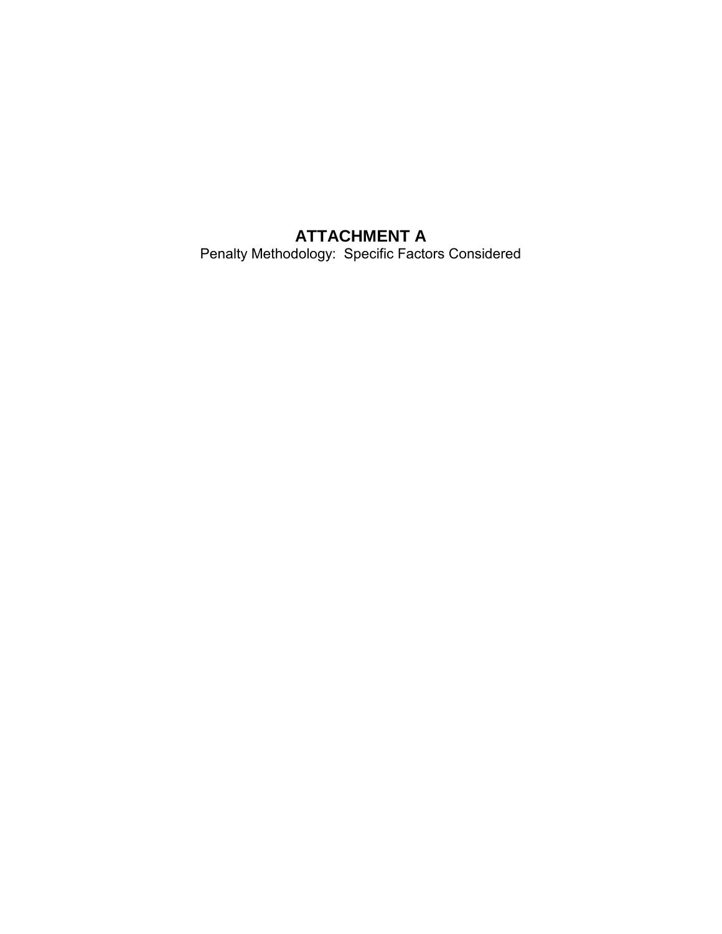# **ATTACHMENT A**

Penalty Methodology: Specific Factors Considered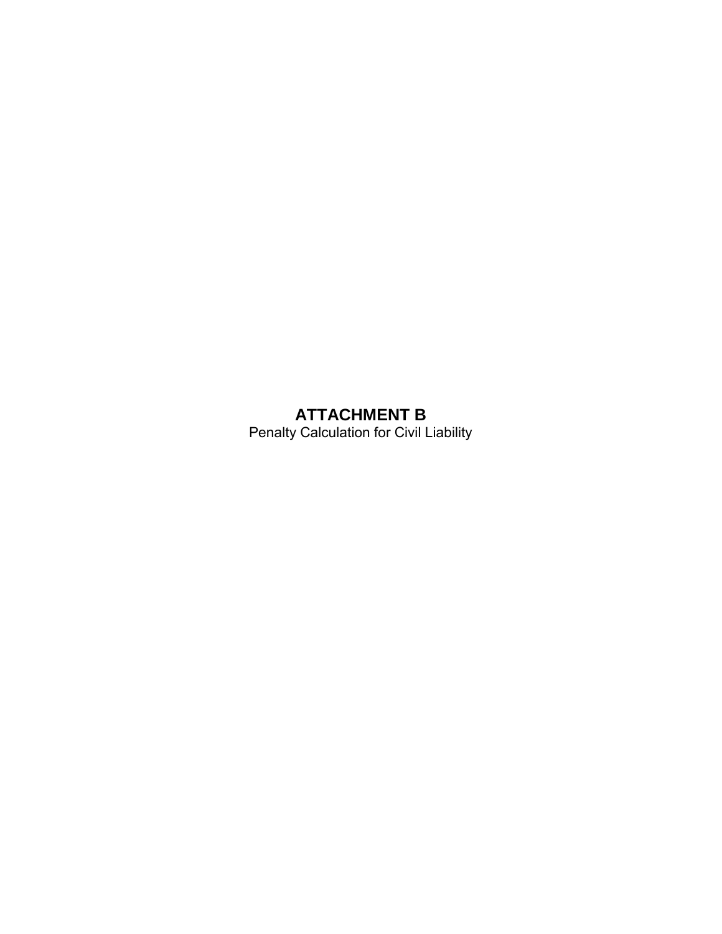# **ATTACHMENT B**

Penalty Calculation for Civil Liability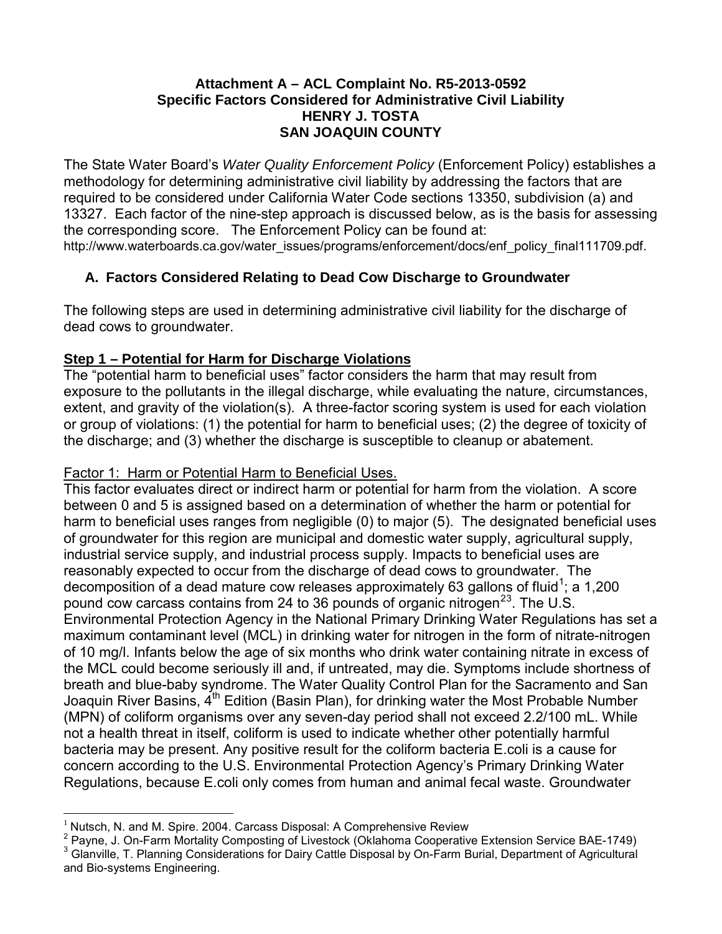#### **Attachment A – ACL Complaint No. R5-2013-0592 Specific Factors Considered for Administrative Civil Liability HENRY J. TOSTA SAN JOAQUIN COUNTY**

The State Water Board's *Water Quality Enforcement Policy* (Enforcement Policy) establishes a methodology for determining administrative civil liability by addressing the factors that are required to be considered under California Water Code sections 13350, subdivision (a) and 13327. Each factor of the nine-step approach is discussed below, as is the basis for assessing the corresponding score. The Enforcement Policy can be found at:

http://www.waterboards.ca.gov/water\_issues/programs/enforcement/docs/enf\_policy\_final111709.pdf.

# **A. Factors Considered Relating to Dead Cow Discharge to Groundwater**

The following steps are used in determining administrative civil liability for the discharge of dead cows to groundwater.

# **Step 1 – Potential for Harm for Discharge Violations**

The "potential harm to beneficial uses" factor considers the harm that may result from exposure to the pollutants in the illegal discharge, while evaluating the nature, circumstances, extent, and gravity of the violation(s). A three-factor scoring system is used for each violation or group of violations: (1) the potential for harm to beneficial uses; (2) the degree of toxicity of the discharge; and (3) whether the discharge is susceptible to cleanup or abatement.

# Factor 1: Harm or Potential Harm to Beneficial Uses.

This factor evaluates direct or indirect harm or potential for harm from the violation. A score between 0 and 5 is assigned based on a determination of whether the harm or potential for harm to beneficial uses ranges from negligible (0) to major (5). The designated beneficial uses of groundwater for this region are municipal and domestic water supply, agricultural supply, industrial service supply, and industrial process supply. Impacts to beneficial uses are reasonably expected to occur from the discharge of dead cows to groundwater. The decomposition of a dead mature cow releases approximately 63 gallons of fluid<sup>[1](#page-16-0)</sup>; a 1,200 pound cow carcass contains from [2](#page-16-1)4 to [3](#page-16-2)6 pounds of organic nitrogen<sup>23</sup>. The U.S. Environmental Protection Agency in the National Primary Drinking Water Regulations has set a maximum contaminant level (MCL) in drinking water for nitrogen in the form of nitrate-nitrogen of 10 mg/l. Infants below the age of six months who drink water containing nitrate in excess of the MCL could become seriously ill and, if untreated, may die. Symptoms include shortness of breath and blue-baby syndrome. The Water Quality Control Plan for the Sacramento and San Joaquin River Basins,  $4<sup>th</sup>$  Edition (Basin Plan), for drinking water the Most Probable Number (MPN) of coliform organisms over any seven-day period shall not exceed 2.2/100 mL. While not a health threat in itself, coliform is used to indicate whether other potentially harmful bacteria may be present. Any positive result for the coliform bacteria E.coli is a cause for concern according to the U.S. Environmental Protection Agency's Primary Drinking Water Regulations, because E.coli only comes from human and animal fecal waste. Groundwater

 $\overline{a}$ Nutsch, N. and M. Spire. 2004. Carcass Disposal: A Comprehensive Review

<span id="page-16-1"></span><span id="page-16-0"></span><sup>2</sup> Payne, J. On-Farm Mortality Composting of Livestock (Oklahoma Cooperative Extension Service BAE-1749)<br><sup>3</sup> Glanville, T. Planning Considerations for Dairy Cattle Disposal by On-Farm Burial, Department of Agricultural

<span id="page-16-2"></span>and Bio-systems Engineering.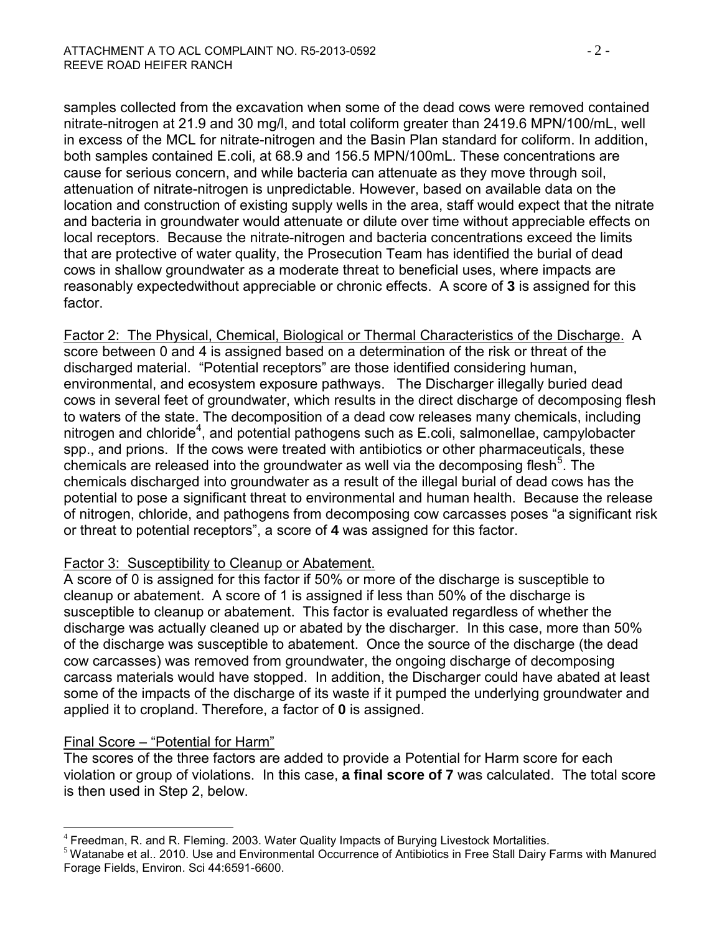samples collected from the excavation when some of the dead cows were removed contained nitrate-nitrogen at 21.9 and 30 mg/l, and total coliform greater than 2419.6 MPN/100/mL, well in excess of the MCL for nitrate-nitrogen and the Basin Plan standard for coliform. In addition, both samples contained E.coli, at 68.9 and 156.5 MPN/100mL. These concentrations are cause for serious concern, and while bacteria can attenuate as they move through soil, attenuation of nitrate-nitrogen is unpredictable. However, based on available data on the location and construction of existing supply wells in the area, staff would expect that the nitrate and bacteria in groundwater would attenuate or dilute over time without appreciable effects on local receptors. Because the nitrate-nitrogen and bacteria concentrations exceed the limits that are protective of water quality, the Prosecution Team has identified the burial of dead cows in shallow groundwater as a moderate threat to beneficial uses, where impacts are reasonably expectedwithout appreciable or chronic effects. A score of **3** is assigned for this factor.

Factor 2: The Physical, Chemical, Biological or Thermal Characteristics of the Discharge. A score between 0 and 4 is assigned based on a determination of the risk or threat of the discharged material. "Potential receptors" are those identified considering human, environmental, and ecosystem exposure pathways. The Discharger illegally buried dead cows in several feet of groundwater, which results in the direct discharge of decomposing flesh to waters of the state. The decomposition of a dead cow releases many chemicals, including nitrogen and chloride<sup>[4](#page-17-0)</sup>, and potential pathogens such as E.coli, salmonellae, campylobacter spp., and prions. If the cows were treated with antibiotics or other pharmaceuticals, these chemicals are released into the groundwater as well via the decomposing flesh<sup>[5](#page-17-1)</sup>. The chemicals discharged into groundwater as a result of the illegal burial of dead cows has the potential to pose a significant threat to environmental and human health. Because the release of nitrogen, chloride, and pathogens from decomposing cow carcasses poses "a significant risk or threat to potential receptors", a score of **4** was assigned for this factor.

#### Factor 3: Susceptibility to Cleanup or Abatement.

A score of 0 is assigned for this factor if 50% or more of the discharge is susceptible to cleanup or abatement. A score of 1 is assigned if less than 50% of the discharge is susceptible to cleanup or abatement. This factor is evaluated regardless of whether the discharge was actually cleaned up or abated by the discharger. In this case, more than 50% of the discharge was susceptible to abatement. Once the source of the discharge (the dead cow carcasses) was removed from groundwater, the ongoing discharge of decomposing carcass materials would have stopped. In addition, the Discharger could have abated at least some of the impacts of the discharge of its waste if it pumped the underlying groundwater and applied it to cropland. Therefore, a factor of **0** is assigned.

# Final Score – "Potential for Harm"

The scores of the three factors are added to provide a Potential for Harm score for each violation or group of violations. In this case, **a final score of 7** was calculated. The total score is then used in Step 2, below.

 $\overline{a}$ 

<span id="page-17-1"></span><span id="page-17-0"></span><sup>&</sup>lt;sup>4</sup> Freedman, R. and R. Fleming. 2003. Water Quality Impacts of Burying Livestock Mortalities.<br><sup>5</sup> Watanabe et al.. 2010. Use and Environmental Occurrence of Antibiotics in Free Stall Dairy Farms with Manured Forage Fields, Environ. Sci 44:6591-6600.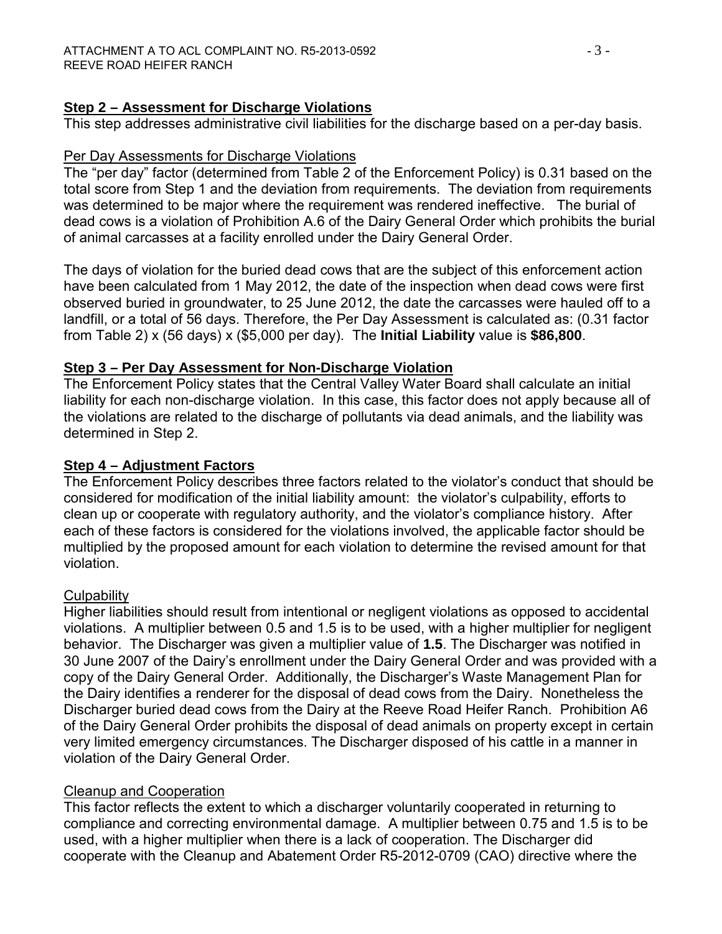#### **Step 2 – Assessment for Discharge Violations**

This step addresses administrative civil liabilities for the discharge based on a per-day basis.

#### Per Day Assessments for Discharge Violations

The "per day" factor (determined from Table 2 of the Enforcement Policy) is 0.31 based on the total score from Step 1 and the deviation from requirements. The deviation from requirements was determined to be major where the requirement was rendered ineffective. The burial of dead cows is a violation of Prohibition A.6 of the Dairy General Order which prohibits the burial of animal carcasses at a facility enrolled under the Dairy General Order.

The days of violation for the buried dead cows that are the subject of this enforcement action have been calculated from 1 May 2012, the date of the inspection when dead cows were first observed buried in groundwater, to 25 June 2012, the date the carcasses were hauled off to a landfill, or a total of 56 days. Therefore, the Per Day Assessment is calculated as: (0.31 factor from Table 2) x (56 days) x (\$5,000 per day). The **Initial Liability** value is **\$86,800**.

#### **Step 3 – Per Day Assessment for Non-Discharge Violation**

The Enforcement Policy states that the Central Valley Water Board shall calculate an initial liability for each non-discharge violation. In this case, this factor does not apply because all of the violations are related to the discharge of pollutants via dead animals, and the liability was determined in Step 2.

#### **Step 4 – Adjustment Factors**

The Enforcement Policy describes three factors related to the violator's conduct that should be considered for modification of the initial liability amount: the violator's culpability, efforts to clean up or cooperate with regulatory authority, and the violator's compliance history. After each of these factors is considered for the violations involved, the applicable factor should be multiplied by the proposed amount for each violation to determine the revised amount for that violation.

#### **Culpability**

Higher liabilities should result from intentional or negligent violations as opposed to accidental violations. A multiplier between 0.5 and 1.5 is to be used, with a higher multiplier for negligent behavior. The Discharger was given a multiplier value of **1.5**. The Discharger was notified in 30 June 2007 of the Dairy's enrollment under the Dairy General Order and was provided with a copy of the Dairy General Order. Additionally, the Discharger's Waste Management Plan for the Dairy identifies a renderer for the disposal of dead cows from the Dairy. Nonetheless the Discharger buried dead cows from the Dairy at the Reeve Road Heifer Ranch. Prohibition A6 of the Dairy General Order prohibits the disposal of dead animals on property except in certain very limited emergency circumstances. The Discharger disposed of his cattle in a manner in violation of the Dairy General Order.

# Cleanup and Cooperation

This factor reflects the extent to which a discharger voluntarily cooperated in returning to compliance and correcting environmental damage. A multiplier between 0.75 and 1.5 is to be used, with a higher multiplier when there is a lack of cooperation. The Discharger did cooperate with the Cleanup and Abatement Order R5-2012-0709 (CAO) directive where the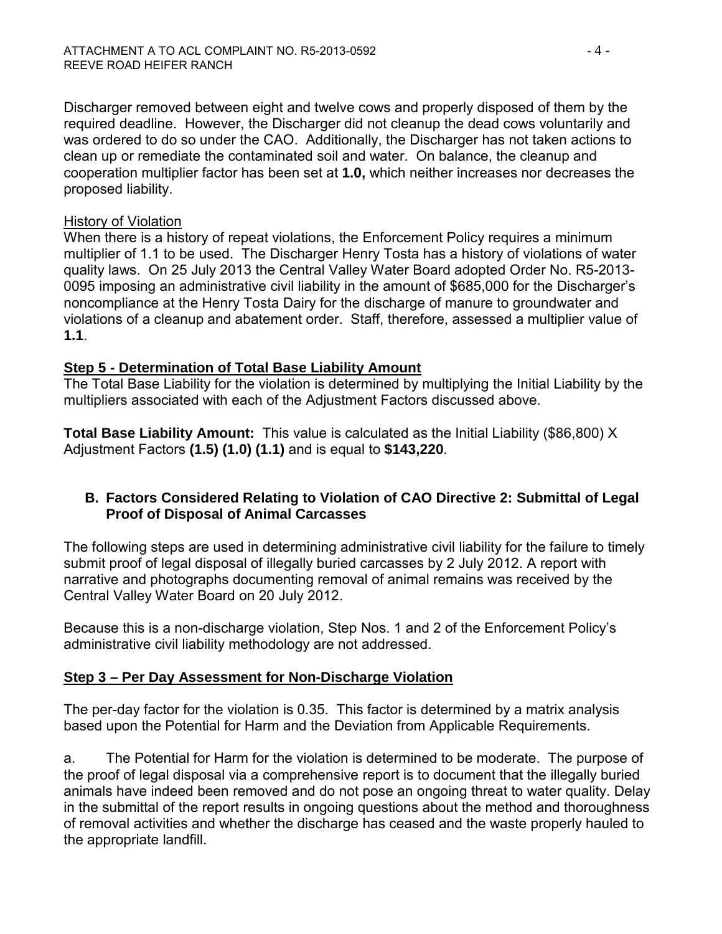Discharger removed between eight and twelve cows and properly disposed of them by the required deadline. However, the Discharger did not cleanup the dead cows voluntarily and was ordered to do so under the CAO. Additionally, the Discharger has not taken actions to clean up or remediate the contaminated soil and water. On balance, the cleanup and cooperation multiplier factor has been set at **1.0,** which neither increases nor decreases the proposed liability.

#### History of Violation

When there is a history of repeat violations, the Enforcement Policy requires a minimum multiplier of 1.1 to be used. The Discharger Henry Tosta has a history of violations of water quality laws. On 25 July 2013 the Central Valley Water Board adopted Order No. R5-2013- 0095 imposing an administrative civil liability in the amount of \$685,000 for the Discharger's noncompliance at the Henry Tosta Dairy for the discharge of manure to groundwater and violations of a cleanup and abatement order. Staff, therefore, assessed a multiplier value of **1.1**.

#### **Step 5 - Determination of Total Base Liability Amount**

The Total Base Liability for the violation is determined by multiplying the Initial Liability by the multipliers associated with each of the Adjustment Factors discussed above.

**Total Base Liability Amount:** This value is calculated as the Initial Liability (\$86,800) X Adjustment Factors **(1.5) (1.0) (1.1)** and is equal to **\$143,220**.

# **B. Factors Considered Relating to Violation of CAO Directive 2: Submittal of Legal Proof of Disposal of Animal Carcasses**

The following steps are used in determining administrative civil liability for the failure to timely submit proof of legal disposal of illegally buried carcasses by 2 July 2012. A report with narrative and photographs documenting removal of animal remains was received by the Central Valley Water Board on 20 July 2012.

Because this is a non-discharge violation, Step Nos. 1 and 2 of the Enforcement Policy's administrative civil liability methodology are not addressed.

# **Step 3 – Per Day Assessment for Non-Discharge Violation**

The per-day factor for the violation is 0.35. This factor is determined by a matrix analysis based upon the Potential for Harm and the Deviation from Applicable Requirements.

a. The Potential for Harm for the violation is determined to be moderate. The purpose of the proof of legal disposal via a comprehensive report is to document that the illegally buried animals have indeed been removed and do not pose an ongoing threat to water quality. Delay in the submittal of the report results in ongoing questions about the method and thoroughness of removal activities and whether the discharge has ceased and the waste properly hauled to the appropriate landfill.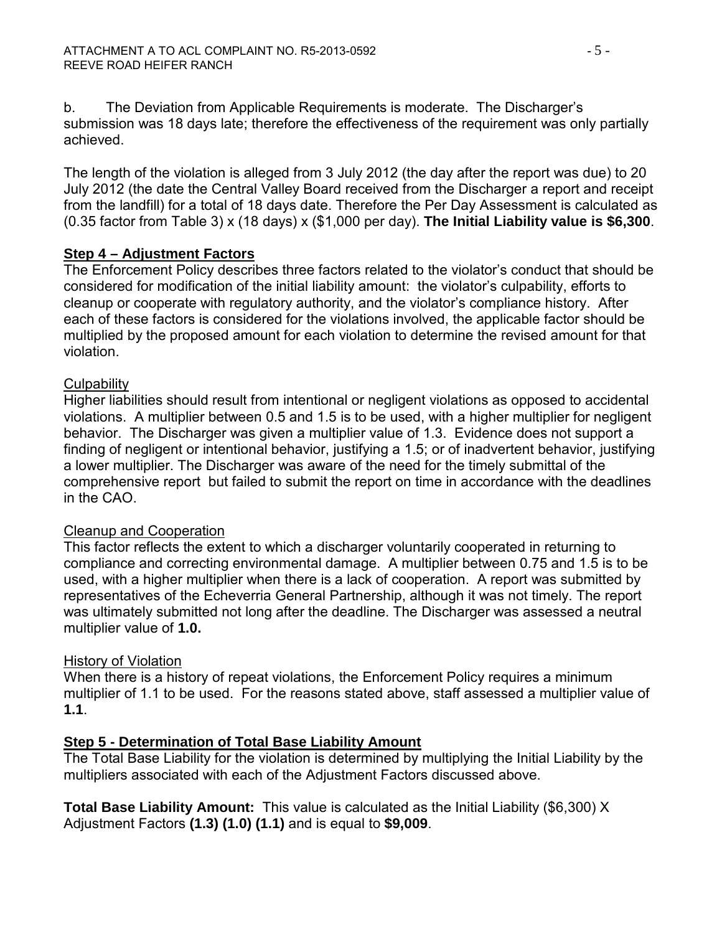b. The Deviation from Applicable Requirements is moderate. The Discharger's submission was 18 days late; therefore the effectiveness of the requirement was only partially achieved.

The length of the violation is alleged from 3 July 2012 (the day after the report was due) to 20 July 2012 (the date the Central Valley Board received from the Discharger a report and receipt from the landfill) for a total of 18 days date. Therefore the Per Day Assessment is calculated as (0.35 factor from Table 3) x (18 days) x (\$1,000 per day). **The Initial Liability value is \$6,300**.

#### **Step 4 – Adjustment Factors**

The Enforcement Policy describes three factors related to the violator's conduct that should be considered for modification of the initial liability amount: the violator's culpability, efforts to cleanup or cooperate with regulatory authority, and the violator's compliance history. After each of these factors is considered for the violations involved, the applicable factor should be multiplied by the proposed amount for each violation to determine the revised amount for that violation.

#### **Culpability**

Higher liabilities should result from intentional or negligent violations as opposed to accidental violations. A multiplier between 0.5 and 1.5 is to be used, with a higher multiplier for negligent behavior. The Discharger was given a multiplier value of 1.3. Evidence does not support a finding of negligent or intentional behavior, justifying a 1.5; or of inadvertent behavior, justifying a lower multiplier. The Discharger was aware of the need for the timely submittal of the comprehensive report but failed to submit the report on time in accordance with the deadlines in the CAO.

#### Cleanup and Cooperation

This factor reflects the extent to which a discharger voluntarily cooperated in returning to compliance and correcting environmental damage. A multiplier between 0.75 and 1.5 is to be used, with a higher multiplier when there is a lack of cooperation. A report was submitted by representatives of the Echeverria General Partnership, although it was not timely. The report was ultimately submitted not long after the deadline. The Discharger was assessed a neutral multiplier value of **1.0.**

# History of Violation

When there is a history of repeat violations, the Enforcement Policy requires a minimum multiplier of 1.1 to be used. For the reasons stated above, staff assessed a multiplier value of **1.1**.

# **Step 5 - Determination of Total Base Liability Amount**

The Total Base Liability for the violation is determined by multiplying the Initial Liability by the multipliers associated with each of the Adjustment Factors discussed above.

**Total Base Liability Amount:** This value is calculated as the Initial Liability (\$6,300) X Adjustment Factors **(1.3) (1.0) (1.1)** and is equal to **\$9,009**.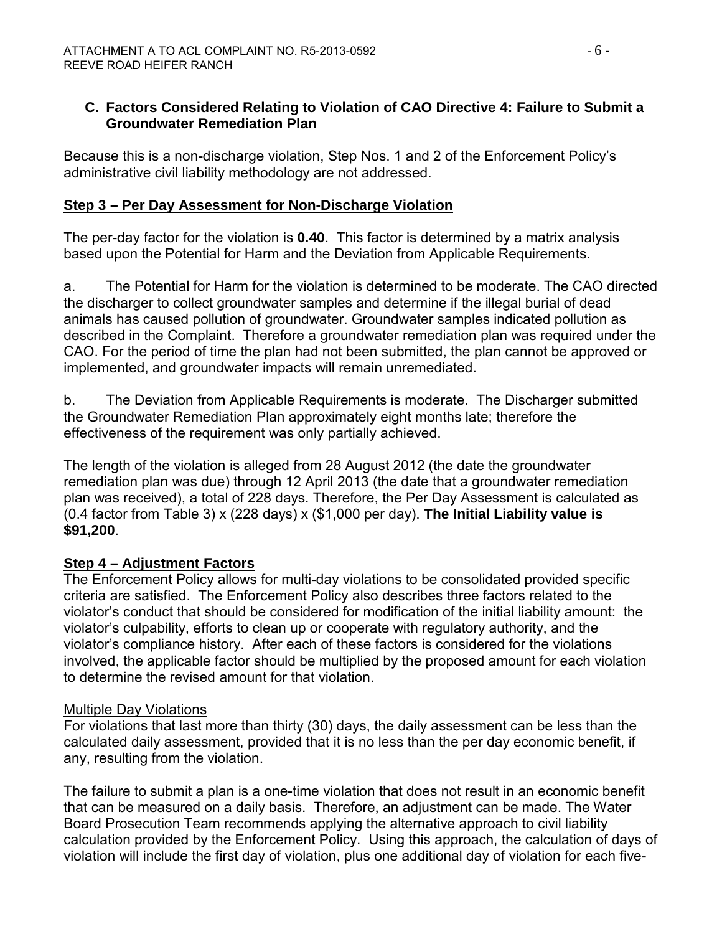### **C. Factors Considered Relating to Violation of CAO Directive 4: Failure to Submit a Groundwater Remediation Plan**

Because this is a non-discharge violation, Step Nos. 1 and 2 of the Enforcement Policy's administrative civil liability methodology are not addressed.

# **Step 3 – Per Day Assessment for Non-Discharge Violation**

The per-day factor for the violation is **0.40**. This factor is determined by a matrix analysis based upon the Potential for Harm and the Deviation from Applicable Requirements.

a. The Potential for Harm for the violation is determined to be moderate. The CAO directed the discharger to collect groundwater samples and determine if the illegal burial of dead animals has caused pollution of groundwater. Groundwater samples indicated pollution as described in the Complaint. Therefore a groundwater remediation plan was required under the CAO. For the period of time the plan had not been submitted, the plan cannot be approved or implemented, and groundwater impacts will remain unremediated.

b. The Deviation from Applicable Requirements is moderate. The Discharger submitted the Groundwater Remediation Plan approximately eight months late; therefore the effectiveness of the requirement was only partially achieved.

The length of the violation is alleged from 28 August 2012 (the date the groundwater remediation plan was due) through 12 April 2013 (the date that a groundwater remediation plan was received), a total of 228 days. Therefore, the Per Day Assessment is calculated as (0.4 factor from Table 3) x (228 days) x (\$1,000 per day). **The Initial Liability value is \$91,200**.

#### **Step 4 – Adjustment Factors**

The Enforcement Policy allows for multi-day violations to be consolidated provided specific criteria are satisfied. The Enforcement Policy also describes three factors related to the violator's conduct that should be considered for modification of the initial liability amount: the violator's culpability, efforts to clean up or cooperate with regulatory authority, and the violator's compliance history. After each of these factors is considered for the violations involved, the applicable factor should be multiplied by the proposed amount for each violation to determine the revised amount for that violation.

#### Multiple Day Violations

For violations that last more than thirty (30) days, the daily assessment can be less than the calculated daily assessment, provided that it is no less than the per day economic benefit, if any, resulting from the violation.

The failure to submit a plan is a one-time violation that does not result in an economic benefit that can be measured on a daily basis. Therefore, an adjustment can be made. The Water Board Prosecution Team recommends applying the alternative approach to civil liability calculation provided by the Enforcement Policy. Using this approach, the calculation of days of violation will include the first day of violation, plus one additional day of violation for each five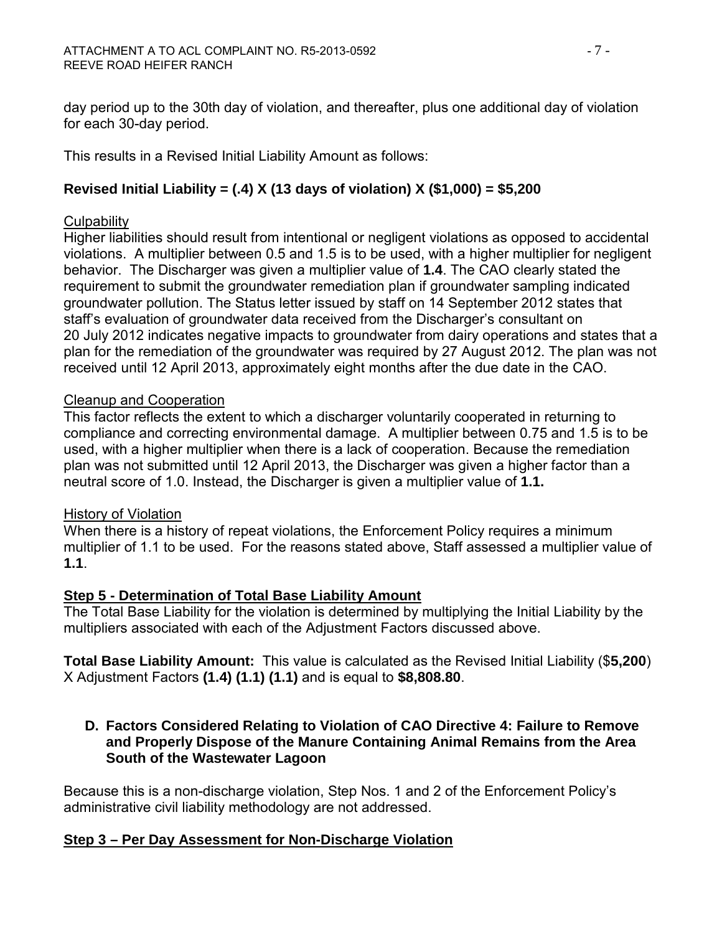day period up to the 30th day of violation, and thereafter, plus one additional day of violation for each 30-day period.

This results in a Revised Initial Liability Amount as follows:

# **Revised Initial Liability = (.4) X (13 days of violation) X (\$1,000) = \$5,200**

#### **Culpability**

Higher liabilities should result from intentional or negligent violations as opposed to accidental violations. A multiplier between 0.5 and 1.5 is to be used, with a higher multiplier for negligent behavior. The Discharger was given a multiplier value of **1.4**. The CAO clearly stated the requirement to submit the groundwater remediation plan if groundwater sampling indicated groundwater pollution. The Status letter issued by staff on 14 September 2012 states that staff's evaluation of groundwater data received from the Discharger's consultant on 20 July 2012 indicates negative impacts to groundwater from dairy operations and states that a plan for the remediation of the groundwater was required by 27 August 2012. The plan was not received until 12 April 2013, approximately eight months after the due date in the CAO.

#### Cleanup and Cooperation

This factor reflects the extent to which a discharger voluntarily cooperated in returning to compliance and correcting environmental damage. A multiplier between 0.75 and 1.5 is to be used, with a higher multiplier when there is a lack of cooperation. Because the remediation plan was not submitted until 12 April 2013, the Discharger was given a higher factor than a neutral score of 1.0. Instead, the Discharger is given a multiplier value of **1.1.**

#### History of Violation

When there is a history of repeat violations, the Enforcement Policy requires a minimum multiplier of 1.1 to be used. For the reasons stated above, Staff assessed a multiplier value of **1.1**.

#### **Step 5 - Determination of Total Base Liability Amount**

The Total Base Liability for the violation is determined by multiplying the Initial Liability by the multipliers associated with each of the Adjustment Factors discussed above.

**Total Base Liability Amount:** This value is calculated as the Revised Initial Liability (\$**5,200**) X Adjustment Factors **(1.4) (1.1) (1.1)** and is equal to **\$8,808.80**.

#### **D. Factors Considered Relating to Violation of CAO Directive 4: Failure to Remove and Properly Dispose of the Manure Containing Animal Remains from the Area South of the Wastewater Lagoon**

Because this is a non-discharge violation, Step Nos. 1 and 2 of the Enforcement Policy's administrative civil liability methodology are not addressed.

# **Step 3 – Per Day Assessment for Non-Discharge Violation**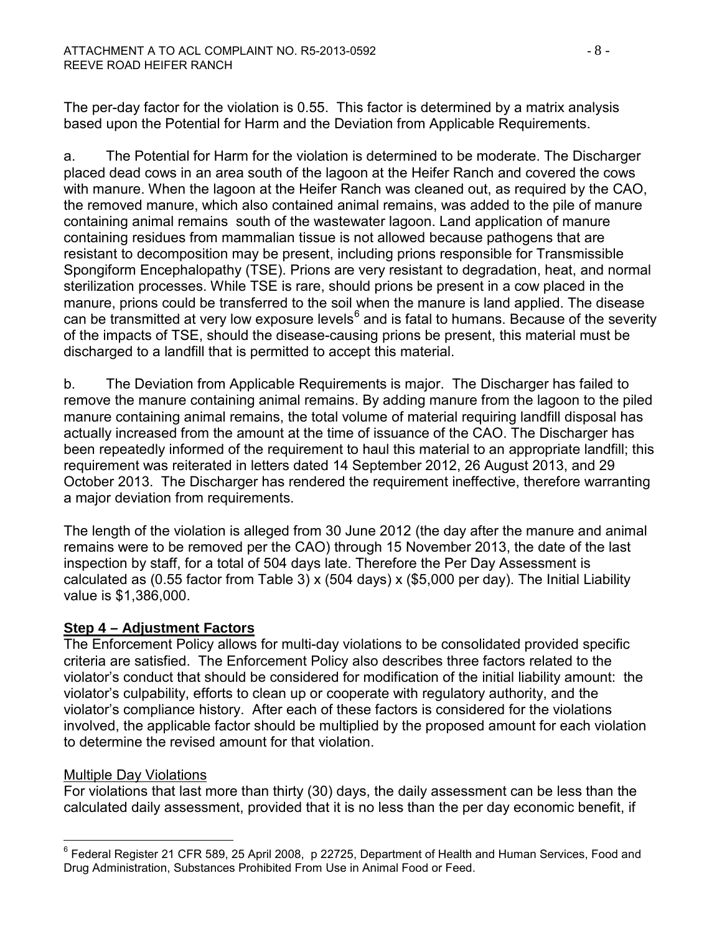The per-day factor for the violation is 0.55. This factor is determined by a matrix analysis based upon the Potential for Harm and the Deviation from Applicable Requirements.

a. The Potential for Harm for the violation is determined to be moderate. The Discharger placed dead cows in an area south of the lagoon at the Heifer Ranch and covered the cows with manure. When the lagoon at the Heifer Ranch was cleaned out, as required by the CAO, the removed manure, which also contained animal remains, was added to the pile of manure containing animal remains south of the wastewater lagoon. Land application of manure containing residues from mammalian tissue is not allowed because pathogens that are resistant to decomposition may be present, including prions responsible for Transmissible Spongiform Encephalopathy (TSE). Prions are very resistant to degradation, heat, and normal sterilization processes. While TSE is rare, should prions be present in a cow placed in the manure, prions could be transferred to the soil when the manure is land applied. The disease can be transmitted at very low exposure levels<sup>[6](#page-23-0)</sup> and is fatal to humans. Because of the severity of the impacts of TSE, should the disease-causing prions be present, this material must be discharged to a landfill that is permitted to accept this material.

b. The Deviation from Applicable Requirements is major. The Discharger has failed to remove the manure containing animal remains. By adding manure from the lagoon to the piled manure containing animal remains, the total volume of material requiring landfill disposal has actually increased from the amount at the time of issuance of the CAO. The Discharger has been repeatedly informed of the requirement to haul this material to an appropriate landfill; this requirement was reiterated in letters dated 14 September 2012, 26 August 2013, and 29 October 2013. The Discharger has rendered the requirement ineffective, therefore warranting a major deviation from requirements.

The length of the violation is alleged from 30 June 2012 (the day after the manure and animal remains were to be removed per the CAO) through 15 November 2013, the date of the last inspection by staff, for a total of 504 days late. Therefore the Per Day Assessment is calculated as (0.55 factor from Table 3) x (504 days) x (\$5,000 per day). The Initial Liability value is \$1,386,000.

# **Step 4 – Adjustment Factors**

The Enforcement Policy allows for multi-day violations to be consolidated provided specific criteria are satisfied. The Enforcement Policy also describes three factors related to the violator's conduct that should be considered for modification of the initial liability amount: the violator's culpability, efforts to clean up or cooperate with regulatory authority, and the violator's compliance history. After each of these factors is considered for the violations involved, the applicable factor should be multiplied by the proposed amount for each violation to determine the revised amount for that violation.

#### Multiple Day Violations

For violations that last more than thirty (30) days, the daily assessment can be less than the calculated daily assessment, provided that it is no less than the per day economic benefit, if

<span id="page-23-0"></span> $\overline{a}$  $^6$  Federal Register 21 CFR 589, 25 April 2008, p 22725, Department of Health and Human Services, Food and Drug Administration, Substances Prohibited From Use in Animal Food or Feed.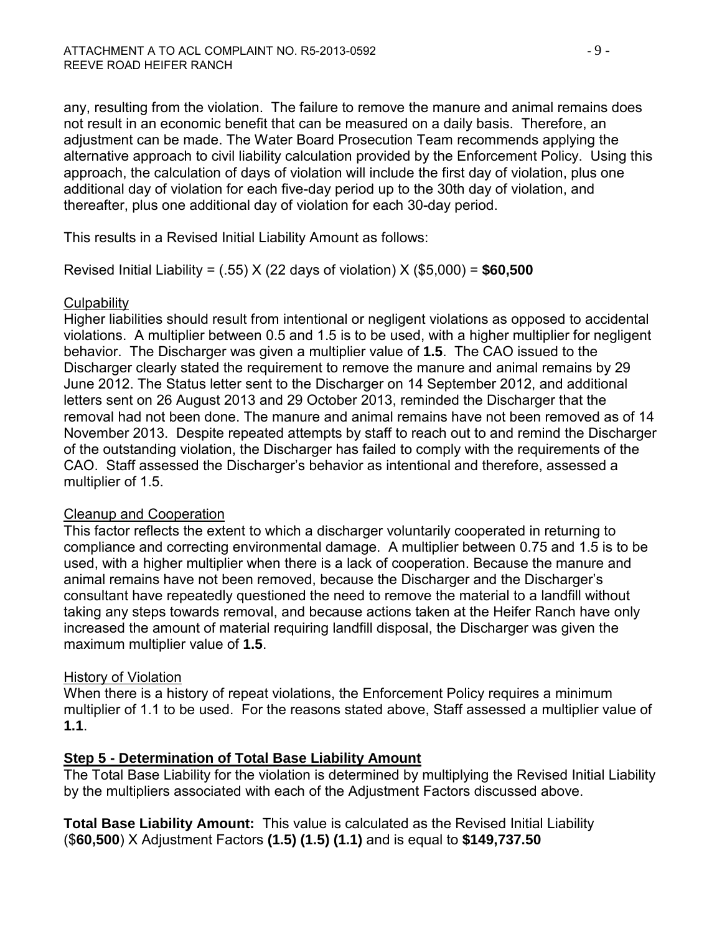any, resulting from the violation. The failure to remove the manure and animal remains does not result in an economic benefit that can be measured on a daily basis. Therefore, an adjustment can be made. The Water Board Prosecution Team recommends applying the alternative approach to civil liability calculation provided by the Enforcement Policy. Using this approach, the calculation of days of violation will include the first day of violation, plus one additional day of violation for each five-day period up to the 30th day of violation, and thereafter, plus one additional day of violation for each 30-day period.

This results in a Revised Initial Liability Amount as follows:

Revised Initial Liability = (.55) X (22 days of violation) X (\$5,000) = **\$60,500**

#### **Culpability**

Higher liabilities should result from intentional or negligent violations as opposed to accidental violations. A multiplier between 0.5 and 1.5 is to be used, with a higher multiplier for negligent behavior. The Discharger was given a multiplier value of **1.5**. The CAO issued to the Discharger clearly stated the requirement to remove the manure and animal remains by 29 June 2012. The Status letter sent to the Discharger on 14 September 2012, and additional letters sent on 26 August 2013 and 29 October 2013, reminded the Discharger that the removal had not been done. The manure and animal remains have not been removed as of 14 November 2013. Despite repeated attempts by staff to reach out to and remind the Discharger of the outstanding violation, the Discharger has failed to comply with the requirements of the CAO. Staff assessed the Discharger's behavior as intentional and therefore, assessed a multiplier of 1.5.

#### Cleanup and Cooperation

This factor reflects the extent to which a discharger voluntarily cooperated in returning to compliance and correcting environmental damage. A multiplier between 0.75 and 1.5 is to be used, with a higher multiplier when there is a lack of cooperation. Because the manure and animal remains have not been removed, because the Discharger and the Discharger's consultant have repeatedly questioned the need to remove the material to a landfill without taking any steps towards removal, and because actions taken at the Heifer Ranch have only increased the amount of material requiring landfill disposal, the Discharger was given the maximum multiplier value of **1.5**.

# History of Violation

When there is a history of repeat violations, the Enforcement Policy requires a minimum multiplier of 1.1 to be used. For the reasons stated above, Staff assessed a multiplier value of **1.1**.

# **Step 5 - Determination of Total Base Liability Amount**

The Total Base Liability for the violation is determined by multiplying the Revised Initial Liability by the multipliers associated with each of the Adjustment Factors discussed above.

**Total Base Liability Amount:** This value is calculated as the Revised Initial Liability (\$**60,500**) X Adjustment Factors **(1.5) (1.5) (1.1)** and is equal to **\$149,737.50**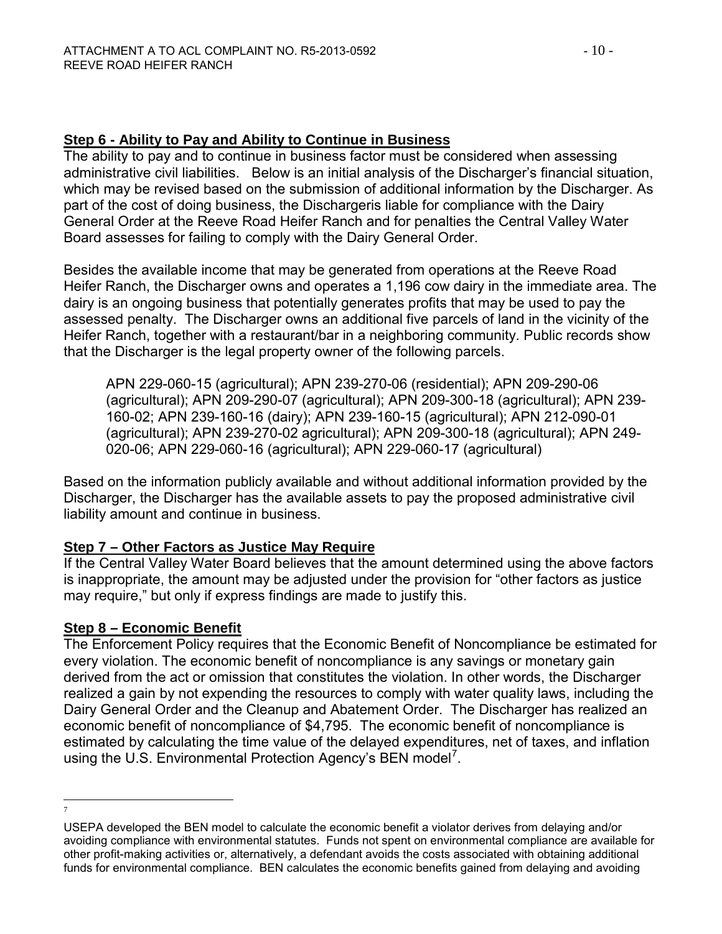### **Step 6 - Ability to Pay and Ability to Continue in Business**

The ability to pay and to continue in business factor must be considered when assessing administrative civil liabilities. Below is an initial analysis of the Discharger's financial situation, which may be revised based on the submission of additional information by the Discharger. As part of the cost of doing business, the Dischargeris liable for compliance with the Dairy General Order at the Reeve Road Heifer Ranch and for penalties the Central Valley Water Board assesses for failing to comply with the Dairy General Order.

Besides the available income that may be generated from operations at the Reeve Road Heifer Ranch, the Discharger owns and operates a 1,196 cow dairy in the immediate area. The dairy is an ongoing business that potentially generates profits that may be used to pay the assessed penalty. The Discharger owns an additional five parcels of land in the vicinity of the Heifer Ranch, together with a restaurant/bar in a neighboring community. Public records show that the Discharger is the legal property owner of the following parcels.

APN 229-060-15 (agricultural); APN 239-270-06 (residential); APN 209-290-06 (agricultural); APN 209-290-07 (agricultural); APN 209-300-18 (agricultural); APN 239- 160-02; APN 239-160-16 (dairy); APN 239-160-15 (agricultural); APN 212-090-01 (agricultural); APN 239-270-02 agricultural); APN 209-300-18 (agricultural); APN 249- 020-06; APN 229-060-16 (agricultural); APN 229-060-17 (agricultural)

Based on the information publicly available and without additional information provided by the Discharger, the Discharger has the available assets to pay the proposed administrative civil liability amount and continue in business.

# **Step 7 – Other Factors as Justice May Require**

If the Central Valley Water Board believes that the amount determined using the above factors is inappropriate, the amount may be adjusted under the provision for "other factors as justice may require," but only if express findings are made to justify this.

#### **Step 8 – Economic Benefit**

The Enforcement Policy requires that the Economic Benefit of Noncompliance be estimated for every violation. The economic benefit of noncompliance is any savings or monetary gain derived from the act or omission that constitutes the violation. In other words, the Discharger realized a gain by not expending the resources to comply with water quality laws, including the Dairy General Order and the Cleanup and Abatement Order. The Discharger has realized an economic benefit of noncompliance of \$4,795. The economic benefit of noncompliance is estimated by calculating the time value of the delayed expenditures, net of taxes, and inflation using the U.S. Environmental Protection Agency's BEN model<sup>[7](#page-25-0)</sup>.

 $\overline{a}$ 7

<span id="page-25-0"></span>USEPA developed the BEN model to calculate the economic benefit a violator derives from delaying and/or avoiding compliance with environmental statutes. Funds not spent on environmental compliance are available for other profit-making activities or, alternatively, a defendant avoids the costs associated with obtaining additional funds for environmental compliance. BEN calculates the economic benefits gained from delaying and avoiding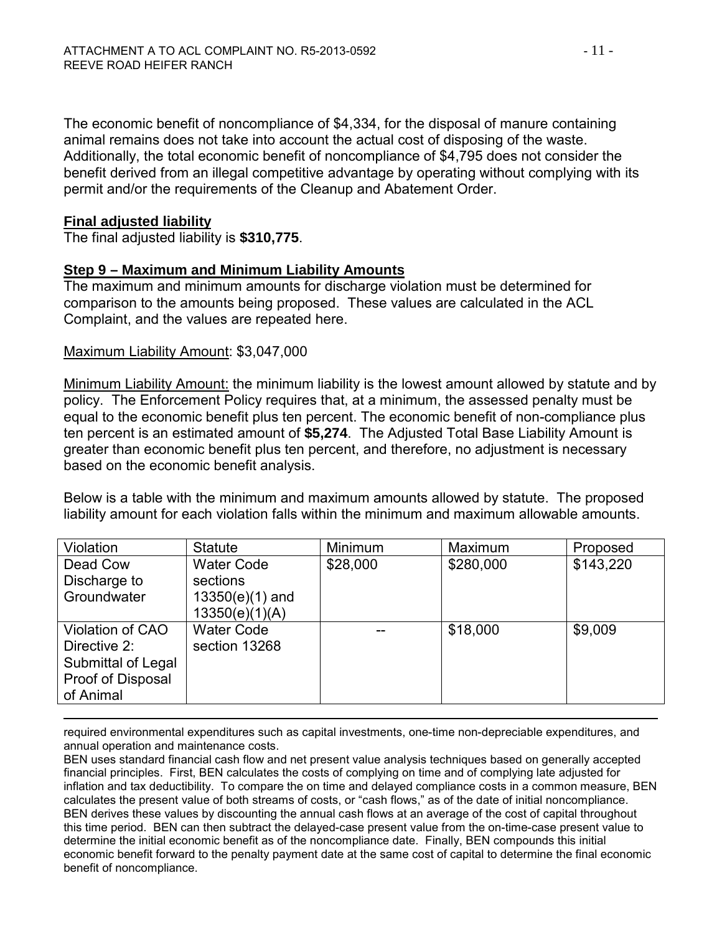The economic benefit of noncompliance of \$4,334, for the disposal of manure containing animal remains does not take into account the actual cost of disposing of the waste. Additionally, the total economic benefit of noncompliance of \$4,795 does not consider the benefit derived from an illegal competitive advantage by operating without complying with its permit and/or the requirements of the Cleanup and Abatement Order.

#### **Final adjusted liability**

The final adjusted liability is **\$310,775**.

#### **Step 9 – Maximum and Minimum Liability Amounts**

The maximum and minimum amounts for discharge violation must be determined for comparison to the amounts being proposed. These values are calculated in the ACL Complaint, and the values are repeated here.

#### Maximum Liability Amount: \$3,047,000

Minimum Liability Amount: the minimum liability is the lowest amount allowed by statute and by policy. The Enforcement Policy requires that, at a minimum, the assessed penalty must be equal to the economic benefit plus ten percent. The economic benefit of non-compliance plus ten percent is an estimated amount of **\$5,274**. The Adjusted Total Base Liability Amount is greater than economic benefit plus ten percent, and therefore, no adjustment is necessary based on the economic benefit analysis.

Below is a table with the minimum and maximum amounts allowed by statute. The proposed liability amount for each violation falls within the minimum and maximum allowable amounts.

| Violation          | <b>Statute</b>    | Minimum  | Maximum   | Proposed  |
|--------------------|-------------------|----------|-----------|-----------|
| Dead Cow           | <b>Water Code</b> | \$28,000 | \$280,000 | \$143,220 |
| Discharge to       | sections          |          |           |           |
| Groundwater        | $13350(e)(1)$ and |          |           |           |
|                    | 13350(e)(1)(A)    |          |           |           |
| Violation of CAO   | <b>Water Code</b> |          | \$18,000  | \$9,009   |
| Directive 2:       | section 13268     |          |           |           |
| Submittal of Legal |                   |          |           |           |
| Proof of Disposal  |                   |          |           |           |
| of Animal          |                   |          |           |           |

 $\overline{a}$ required environmental expenditures such as capital investments, one-time non-depreciable expenditures, and annual operation and maintenance costs.

BEN uses standard financial cash flow and net present value analysis techniques based on generally accepted financial principles. First, BEN calculates the costs of complying on time and of complying late adjusted for inflation and tax deductibility. To compare the on time and delayed compliance costs in a common measure, BEN calculates the present value of both streams of costs, or "cash flows," as of the date of initial noncompliance. BEN derives these values by discounting the annual cash flows at an average of the cost of capital throughout this time period. BEN can then subtract the delayed-case present value from the on-time-case present value to determine the initial economic benefit as of the noncompliance date. Finally, BEN compounds this initial economic benefit forward to the penalty payment date at the same cost of capital to determine the final economic benefit of noncompliance.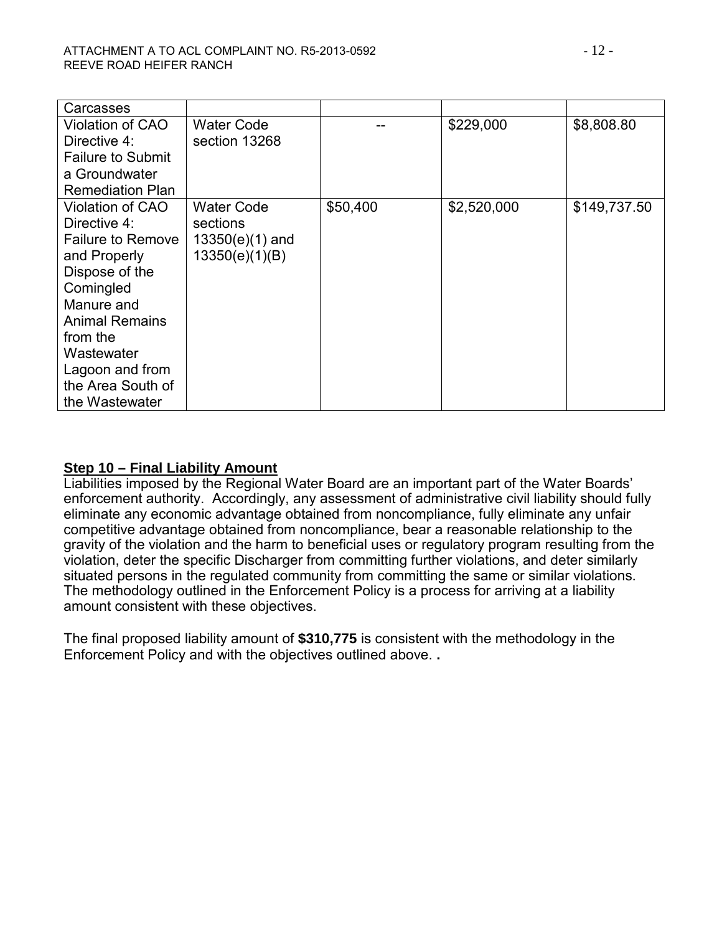| Carcasses                |                   |          |             |              |
|--------------------------|-------------------|----------|-------------|--------------|
| Violation of CAO         | <b>Water Code</b> |          | \$229,000   | \$8,808.80   |
| Directive 4:             | section 13268     |          |             |              |
| <b>Failure to Submit</b> |                   |          |             |              |
| a Groundwater            |                   |          |             |              |
| <b>Remediation Plan</b>  |                   |          |             |              |
| <b>Violation of CAO</b>  | <b>Water Code</b> | \$50,400 | \$2,520,000 | \$149,737.50 |
| Directive 4:             | sections          |          |             |              |
| <b>Failure to Remove</b> | $13350(e)(1)$ and |          |             |              |
| and Properly             | 13350(e)(1)(B)    |          |             |              |
| Dispose of the           |                   |          |             |              |
| Comingled                |                   |          |             |              |
| Manure and               |                   |          |             |              |
| <b>Animal Remains</b>    |                   |          |             |              |
| from the                 |                   |          |             |              |
| Wastewater               |                   |          |             |              |
| Lagoon and from          |                   |          |             |              |
| the Area South of        |                   |          |             |              |
| the Wastewater           |                   |          |             |              |

#### **Step 10 – Final Liability Amount**

Liabilities imposed by the Regional Water Board are an important part of the Water Boards' enforcement authority. Accordingly, any assessment of administrative civil liability should fully eliminate any economic advantage obtained from noncompliance, fully eliminate any unfair competitive advantage obtained from noncompliance, bear a reasonable relationship to the gravity of the violation and the harm to beneficial uses or regulatory program resulting from the violation, deter the specific Discharger from committing further violations, and deter similarly situated persons in the regulated community from committing the same or similar violations. The methodology outlined in the Enforcement Policy is a process for arriving at a liability amount consistent with these objectives.

The final proposed liability amount of **\$310,775** is consistent with the methodology in the Enforcement Policy and with the objectives outlined above. **.**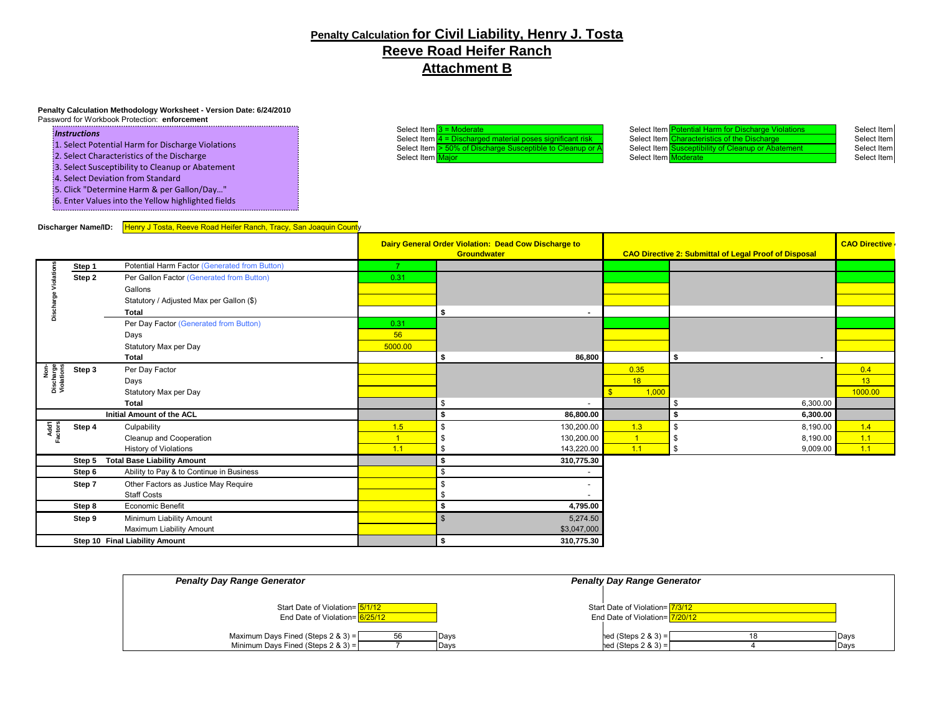#### **Penalty Calculation for Civil Liability, Henry J. Tosta Reeve Road Heifer Ranch Attachment B**

#### **Penalty Calculation Methodology Worksheet - Version Date: 6/24/2010**

Password for Workbook Protection: **enforcement**

#### *Instructions*

- 1. Select Potential Harm for Discharge Violations
- 2. Select Characteristics of the Discharge
- 3. Select Susceptibility to Cleanup or Abatement
- 4. Select Deviation from Standard
- 5. Click "Determine Harm & per Gallon/Day…"
- 6. Enter Values into the Yellow highlighted fields

Select Item 3 = Moderate Select Item Select Item Potential Harm for Discharge Violations Select Item<br>Select Item Select Item Select Item Characteristics of the Discharge Select Item Select Item  $\frac{4}{50\%}$  of Discharged material poses significant risk Select Item Characteristics of the Discharge Select Item Select Item Select Item Select Item Select Item Select Item Select Item Select Item Susceptibi Select Item Susceptible to Cleanup or A Select Item Susceptible to Cleanup or A Select Item <mark>Major Select Item Select Item Select Item Moderate Select Item Select Item Select Item Select Item Select Item Select Item Select Item Select Item Select Item Select Item Select Item Select Item Select Item Se</mark>

#### **Discharger Name/ID:** Henry J Tosta, Reeve Road Heifer Ranch, Tracy, San Joaquin County

...................................

|                                 |        |                                               | Dairy General Order Violation: Dead Cow Discharge to<br>Groundwater |                          | CAO Directive 2: Submittal of Legal Proof of Disposal |                        | <b>CAO Directive</b> |
|---------------------------------|--------|-----------------------------------------------|---------------------------------------------------------------------|--------------------------|-------------------------------------------------------|------------------------|----------------------|
|                                 |        |                                               |                                                                     |                          |                                                       |                        |                      |
|                                 | Step 1 | Potential Harm Factor (Generated from Button) |                                                                     |                          |                                                       |                        |                      |
|                                 | Step 2 | Per Gallon Factor (Generated from Button)     | 0.31                                                                |                          |                                                       |                        |                      |
|                                 |        | Gallons                                       |                                                                     |                          |                                                       |                        |                      |
|                                 |        | Statutory / Adjusted Max per Gallon (\$)      |                                                                     |                          |                                                       |                        |                      |
| ä                               |        | <b>Total</b>                                  |                                                                     | \$                       |                                                       |                        |                      |
|                                 |        | Per Day Factor (Generated from Button)        | 0.31                                                                |                          |                                                       |                        |                      |
|                                 |        | Days                                          | 56                                                                  |                          |                                                       |                        |                      |
|                                 |        | Statutory Max per Day                         | 5000.00                                                             |                          |                                                       |                        |                      |
|                                 |        | <b>Total</b>                                  |                                                                     | 86,800<br>\$             |                                                       | - \$<br>$\blacksquare$ |                      |
|                                 | Step 3 | Per Day Factor                                |                                                                     |                          | 0.35                                                  |                        | 0.4                  |
| Non-<br>Discharge<br>Violations |        | Days                                          |                                                                     |                          | 18                                                    |                        | 13                   |
|                                 |        | Statutory Max per Day                         |                                                                     |                          | 1,000                                                 |                        | 1000.00              |
|                                 |        | <b>Total</b>                                  |                                                                     | \$                       |                                                       | 6,300.00<br>S          |                      |
|                                 |        | Initial Amount of the ACL                     |                                                                     | 86,800.00                |                                                       | 6,300.00               |                      |
|                                 | Step 4 | Culpability                                   | 1.5                                                                 | 130,200.00<br>\$         | 1.3                                                   | 8,190.00<br>\$         | 1.4                  |
| Add'l<br>Factors                |        | Cleanup and Cooperation                       |                                                                     | 130,200.00               |                                                       | 8,190.00               | 1.1                  |
|                                 |        | <b>History of Violations</b>                  | 1.1                                                                 | 143,220.00<br>\$         | 1.1                                                   | 9,009.00               | 1.1                  |
|                                 | Step 5 | <b>Total Base Liability Amount</b>            |                                                                     | 310,775.30<br>\$         |                                                       |                        |                      |
|                                 | Step 6 | Ability to Pay & to Continue in Business      |                                                                     | \$                       |                                                       |                        |                      |
|                                 | Step 7 | Other Factors as Justice May Require          |                                                                     | \$                       |                                                       |                        |                      |
|                                 |        | <b>Staff Costs</b>                            |                                                                     | \$                       |                                                       |                        |                      |
|                                 | Step 8 | Economic Benefit                              |                                                                     | 4,795.00<br>\$           |                                                       |                        |                      |
|                                 | Step 9 | Minimum Liability Amount                      |                                                                     | 5,274.50<br>$\mathbf{s}$ |                                                       |                        |                      |
|                                 |        | Maximum Liability Amount                      |                                                                     | \$3,047,000              |                                                       |                        |                      |
| Step 10 Final Liability Amount  |        |                                               | 310,775.30<br>\$                                                    |                          |                                                       |                        |                      |

| <b>Penalty Day Range Generator</b>                                                                     | <b>Penalty Day Range Generator</b>                                |
|--------------------------------------------------------------------------------------------------------|-------------------------------------------------------------------|
|                                                                                                        |                                                                   |
| Start Date of Violation=15/1/12<br>End Date of Violation= 6/25/12                                      | Start Date of Violation= 7/3/12<br>End Date of Violation= 7/20/12 |
| Maximum Days Fined (Steps $2 \& 3$ ) =<br>56<br>Davs<br>Minimum Days Fined (Steps $2 \& 3$ ) =<br>Days | $hed$ (Steps 2 & 3) =<br>Days<br>$hed$ (Steps 2 & 3) =<br>Days    |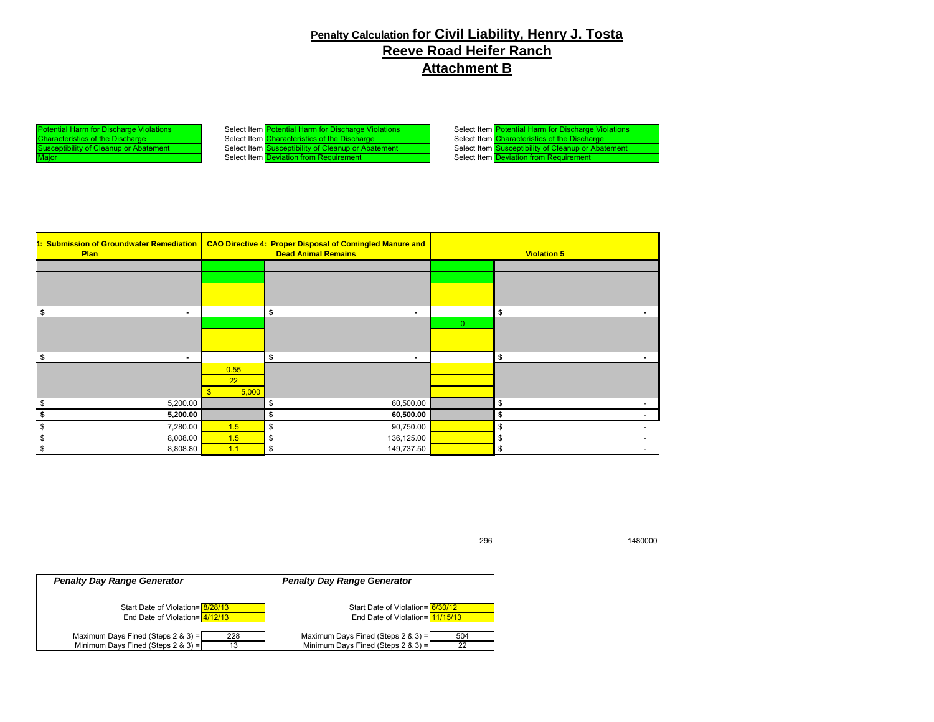#### **Penalty Calculation for Civil Liability, Henry J. Tosta Reeve Road Heifer Ranch Attachment B**

I Harm for Discharge Violations Select Item Potential Harm for Discharge Violations Select Item Potential Harm for Discharge Violations Select Item Characteristics of the Discharge The Discharge Select Item Characteristics of the Discharge Select Item Characteristics of the Discharge Select Item Characteristics of the Discharge Select Item Characteristics of the Discharge usceptibility of Cleanup or Abatement Select Item Deviation from Requirement

| Select Item Potential Harm for Discharge Violations |
|-----------------------------------------------------|
| Select Item Characteristics of the Discharge        |
| Select Item Susceptibility of Cleanup or Abatement  |
| Select Item Deviation from Requirement              |

| Plan |                | 4: Submission of Groundwater Remediation   CAO Directive 4: Proper Disposal of Comingled Manure and<br><b>Dead Animal Remains</b> |                      | <b>Violation 5</b> |                                |
|------|----------------|-----------------------------------------------------------------------------------------------------------------------------------|----------------------|--------------------|--------------------------------|
|      |                |                                                                                                                                   |                      |                    |                                |
|      |                |                                                                                                                                   |                      |                    |                                |
|      |                |                                                                                                                                   |                      |                    |                                |
|      |                |                                                                                                                                   |                      |                    |                                |
|      | $\blacksquare$ |                                                                                                                                   | Ŝ.<br>$\blacksquare$ |                    | s.<br>$\sim$                   |
|      |                |                                                                                                                                   |                      | $\mathbf{0}$       |                                |
|      |                |                                                                                                                                   |                      |                    |                                |
|      |                |                                                                                                                                   |                      |                    |                                |
|      |                |                                                                                                                                   | \$<br>$\blacksquare$ |                    | \$                             |
|      |                | 0.55                                                                                                                              |                      |                    |                                |
|      |                | 22                                                                                                                                |                      |                    |                                |
|      |                | 5,000                                                                                                                             |                      |                    |                                |
|      | 5,200.00       |                                                                                                                                   | 60,500.00<br>\$      |                    | \$<br>$\overline{\phantom{a}}$ |
|      | 5,200.00       |                                                                                                                                   | 60,500.00<br>\$      |                    | S<br>$\overline{\phantom{a}}$  |
|      | 7,280.00       | 1.5                                                                                                                               | \$<br>90,750.00      |                    | \$                             |
|      | 8,008.00       | 1.5                                                                                                                               | 136,125.00<br>\$     |                    | -\$                            |
|      | 8,808.80       | 1.1                                                                                                                               | 149,737.50<br>\$     |                    | \$<br>$\overline{\phantom{a}}$ |

*Penalty Day Range Generator Penalty Day Range Generator* Start Date of Violation= 8/28/13<br>
End Date of Violation=  $\frac{8/28/13}{4/12/13}$  Start Date of Violation=  $\frac{11/15/13}{11/15/13}$ End Date of Violation= 11/15/13 Maximum Days Fined (Steps 2 & 3) =  $\begin{array}{|c|c|c|c|c|}\n \hline\n 228 & \text{Maximum Days Find (Steps 2 & 3) = } \n\hline\n 13 & \text{Minimum Days Find (Steps 2 & 3) = } \n\end{array}$ Minimum Days Fined (Steps 2 & 3) =

296 1480000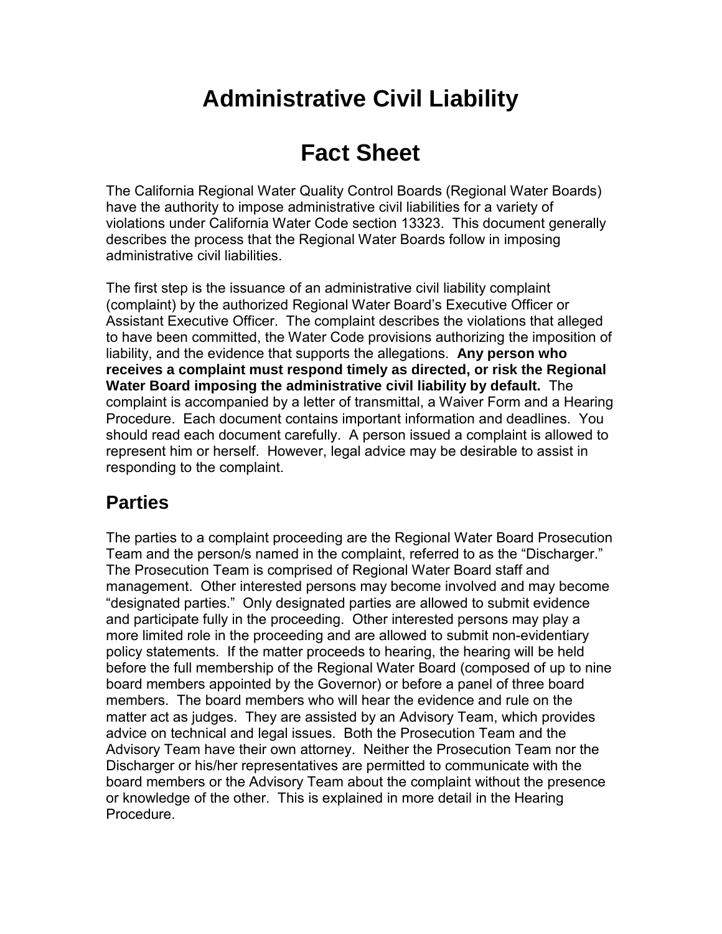# **Administrative Civil Liability**

# **Fact Sheet**

The California Regional Water Quality Control Boards (Regional Water Boards) have the authority to impose administrative civil liabilities for a variety of violations under California Water Code section 13323. This document generally describes the process that the Regional Water Boards follow in imposing administrative civil liabilities.

The first step is the issuance of an administrative civil liability complaint (complaint) by the authorized Regional Water Board's Executive Officer or Assistant Executive Officer. The complaint describes the violations that alleged to have been committed, the Water Code provisions authorizing the imposition of liability, and the evidence that supports the allegations. **Any person who receives a complaint must respond timely as directed, or risk the Regional Water Board imposing the administrative civil liability by default.** The complaint is accompanied by a letter of transmittal, a Waiver Form and a Hearing Procedure. Each document contains important information and deadlines. You should read each document carefully. A person issued a complaint is allowed to represent him or herself. However, legal advice may be desirable to assist in responding to the complaint.

# **Parties**

The parties to a complaint proceeding are the Regional Water Board Prosecution Team and the person/s named in the complaint, referred to as the "Discharger." The Prosecution Team is comprised of Regional Water Board staff and management. Other interested persons may become involved and may become "designated parties." Only designated parties are allowed to submit evidence and participate fully in the proceeding. Other interested persons may play a more limited role in the proceeding and are allowed to submit non-evidentiary policy statements. If the matter proceeds to hearing, the hearing will be held before the full membership of the Regional Water Board (composed of up to nine board members appointed by the Governor) or before a panel of three board members. The board members who will hear the evidence and rule on the matter act as judges. They are assisted by an Advisory Team, which provides advice on technical and legal issues. Both the Prosecution Team and the Advisory Team have their own attorney. Neither the Prosecution Team nor the Discharger or his/her representatives are permitted to communicate with the board members or the Advisory Team about the complaint without the presence or knowledge of the other. This is explained in more detail in the Hearing Procedure.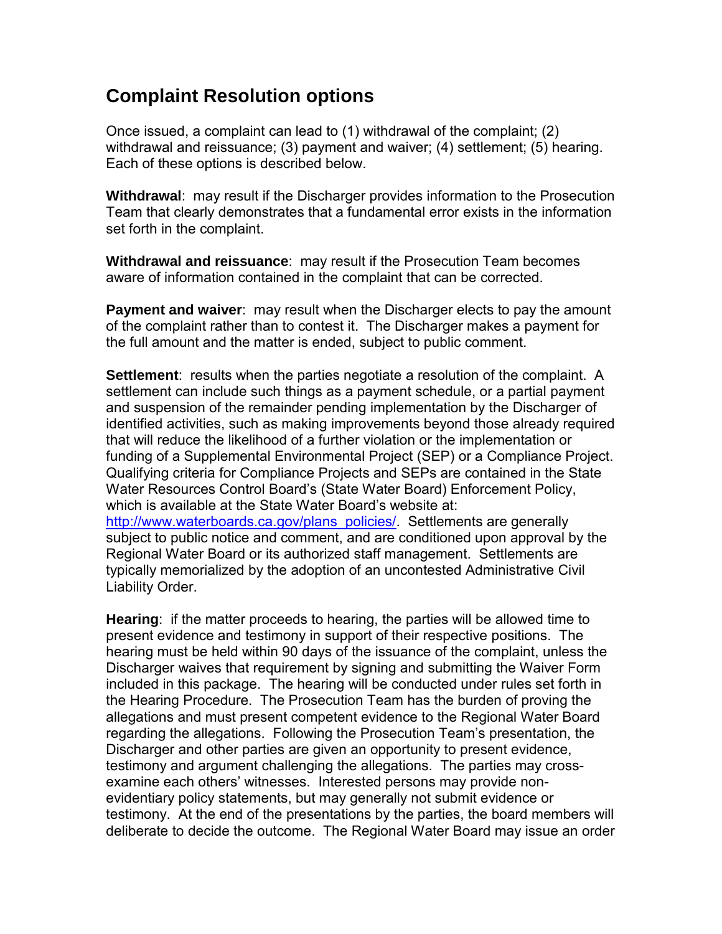# **Complaint Resolution options**

Once issued, a complaint can lead to (1) withdrawal of the complaint; (2) withdrawal and reissuance; (3) payment and waiver; (4) settlement; (5) hearing. Each of these options is described below.

**Withdrawal**: may result if the Discharger provides information to the Prosecution Team that clearly demonstrates that a fundamental error exists in the information set forth in the complaint.

**Withdrawal and reissuance**: may result if the Prosecution Team becomes aware of information contained in the complaint that can be corrected.

**Payment and waiver**: may result when the Discharger elects to pay the amount of the complaint rather than to contest it. The Discharger makes a payment for the full amount and the matter is ended, subject to public comment.

**Settlement**: results when the parties negotiate a resolution of the complaint. A settlement can include such things as a payment schedule, or a partial payment and suspension of the remainder pending implementation by the Discharger of identified activities, such as making improvements beyond those already required that will reduce the likelihood of a further violation or the implementation or funding of a Supplemental Environmental Project (SEP) or a Compliance Project. Qualifying criteria for Compliance Projects and SEPs are contained in the State Water Resources Control Board's (State Water Board) Enforcement Policy, which is available at the State Water Board's website at: [http://www.waterboards.ca.gov/plans\\_policies/.](http://www.waterboards.ca.gov/plans_policies/) Settlements are generally subject to public notice and comment, and are conditioned upon approval by the

Regional Water Board or its authorized staff management. Settlements are typically memorialized by the adoption of an uncontested Administrative Civil Liability Order.

**Hearing**: if the matter proceeds to hearing, the parties will be allowed time to present evidence and testimony in support of their respective positions. The hearing must be held within 90 days of the issuance of the complaint, unless the Discharger waives that requirement by signing and submitting the Waiver Form included in this package. The hearing will be conducted under rules set forth in the Hearing Procedure. The Prosecution Team has the burden of proving the allegations and must present competent evidence to the Regional Water Board regarding the allegations. Following the Prosecution Team's presentation, the Discharger and other parties are given an opportunity to present evidence, testimony and argument challenging the allegations. The parties may crossexamine each others' witnesses. Interested persons may provide nonevidentiary policy statements, but may generally not submit evidence or testimony. At the end of the presentations by the parties, the board members will deliberate to decide the outcome. The Regional Water Board may issue an order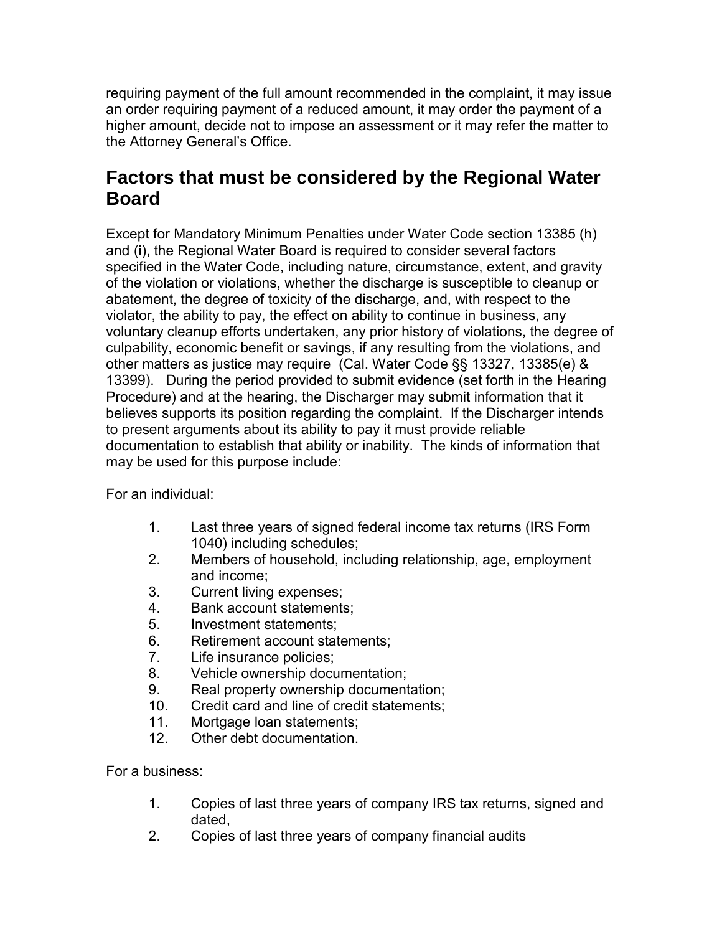requiring payment of the full amount recommended in the complaint, it may issue an order requiring payment of a reduced amount, it may order the payment of a higher amount, decide not to impose an assessment or it may refer the matter to the Attorney General's Office.

# **Factors that must be considered by the Regional Water Board**

Except for Mandatory Minimum Penalties under Water Code section 13385 (h) and (i), the Regional Water Board is required to consider several factors specified in the Water Code, including nature, circumstance, extent, and gravity of the violation or violations, whether the discharge is susceptible to cleanup or abatement, the degree of toxicity of the discharge, and, with respect to the violator, the ability to pay, the effect on ability to continue in business, any voluntary cleanup efforts undertaken, any prior history of violations, the degree of culpability, economic benefit or savings, if any resulting from the violations, and other matters as justice may require (Cal. Water Code §§ 13327, 13385(e) & 13399). During the period provided to submit evidence (set forth in the Hearing Procedure) and at the hearing, the Discharger may submit information that it believes supports its position regarding the complaint. If the Discharger intends to present arguments about its ability to pay it must provide reliable documentation to establish that ability or inability. The kinds of information that may be used for this purpose include:

For an individual:

- 1. Last three years of signed federal income tax returns (IRS Form 1040) including schedules;
- 2. Members of household, including relationship, age, employment and income;
- 3. Current living expenses;
- 4. Bank account statements;
- 5. Investment statements;
- 6. Retirement account statements;
- 7. Life insurance policies;
- 8. Vehicle ownership documentation;
- 9. Real property ownership documentation;
- 10. Credit card and line of credit statements;
- 11. Mortgage loan statements;
- 12. Other debt documentation.

For a business:

- 1. Copies of last three years of company IRS tax returns, signed and dated,
- 2. Copies of last three years of company financial audits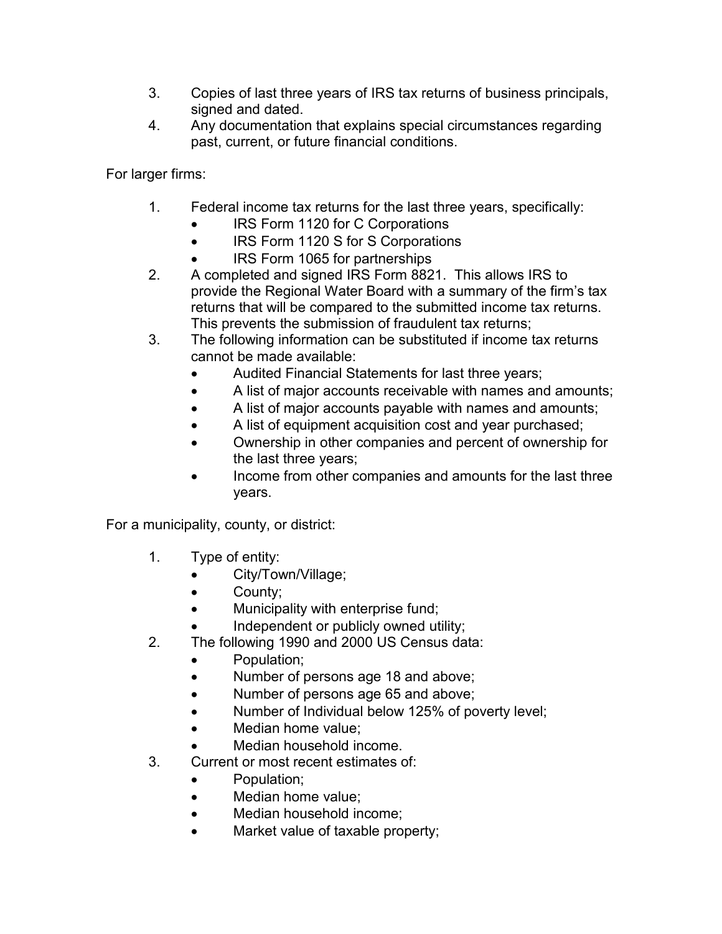- 3. Copies of last three years of IRS tax returns of business principals, signed and dated.
- 4. Any documentation that explains special circumstances regarding past, current, or future financial conditions.

For larger firms:

- 1. Federal income tax returns for the last three years, specifically:
	- IRS Form 1120 for C Corporations
	- IRS Form 1120 S for S Corporations
	- IRS Form 1065 for partnerships
- 2. A completed and signed IRS Form 8821. This allows IRS to provide the Regional Water Board with a summary of the firm's tax returns that will be compared to the submitted income tax returns. This prevents the submission of fraudulent tax returns;
- 3. The following information can be substituted if income tax returns cannot be made available:
	- Audited Financial Statements for last three years;
	- A list of major accounts receivable with names and amounts;
	- A list of major accounts payable with names and amounts;
	- A list of equipment acquisition cost and year purchased;
	- Ownership in other companies and percent of ownership for the last three years;
	- Income from other companies and amounts for the last three years.

For a municipality, county, or district:

- 1. Type of entity:
	- City/Town/Village;
	- County;
	- Municipality with enterprise fund;
	- Independent or publicly owned utility;
- 2. The following 1990 and 2000 US Census data:
	- Population;
	- Number of persons age 18 and above;
	- Number of persons age 65 and above;
	- Number of Individual below 125% of poverty level;
	- Median home value;
	- Median household income.
- 3. Current or most recent estimates of:
	- Population;
	- Median home value:
	- Median household income;
	- Market value of taxable property;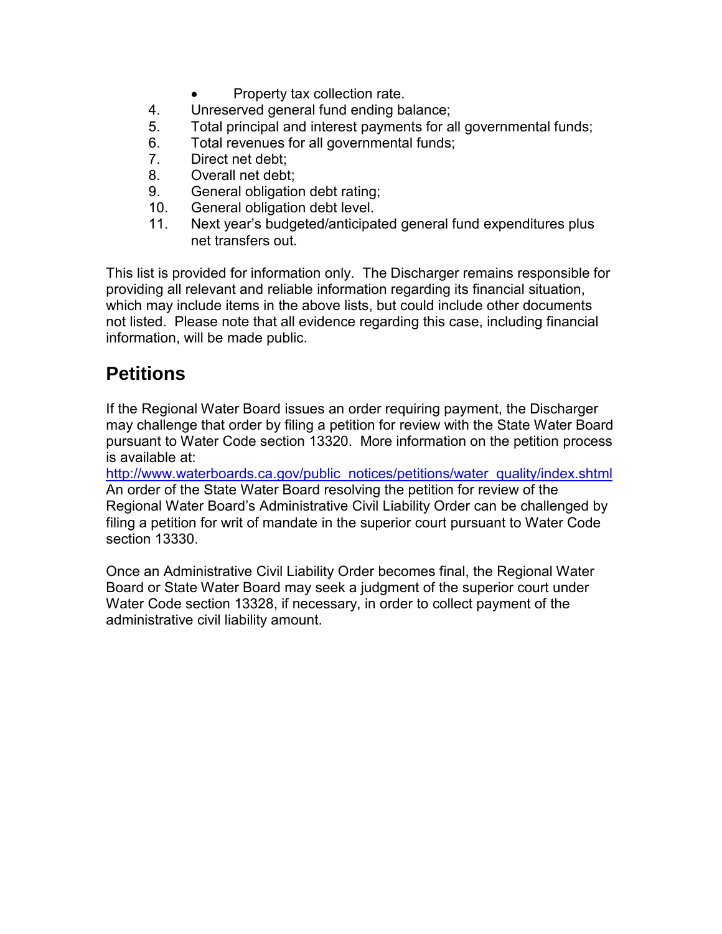- Property tax collection rate.
- 4. Unreserved general fund ending balance;
- 5. Total principal and interest payments for all governmental funds;
- 6. Total revenues for all governmental funds;
- 7. Direct net debt;
- 8. Overall net debt;
- 9. General obligation debt rating;
- 10. General obligation debt level.
- 11. Next year's budgeted/anticipated general fund expenditures plus net transfers out.

This list is provided for information only. The Discharger remains responsible for providing all relevant and reliable information regarding its financial situation, which may include items in the above lists, but could include other documents not listed. Please note that all evidence regarding this case, including financial information, will be made public.

# **Petitions**

If the Regional Water Board issues an order requiring payment, the Discharger may challenge that order by filing a petition for review with the State Water Board pursuant to Water Code section 13320. More information on the petition process is available at:

[http://www.waterboards.ca.gov/public\\_notices/petitions/water\\_quality/index.shtml](http://www.waterboards.ca.gov/public_notices/petitions/water_quality/index.shtml) An order of the State Water Board resolving the petition for review of the Regional Water Board's Administrative Civil Liability Order can be challenged by filing a petition for writ of mandate in the superior court pursuant to Water Code section 13330.

Once an Administrative Civil Liability Order becomes final, the Regional Water Board or State Water Board may seek a judgment of the superior court under Water Code section 13328, if necessary, in order to collect payment of the administrative civil liability amount.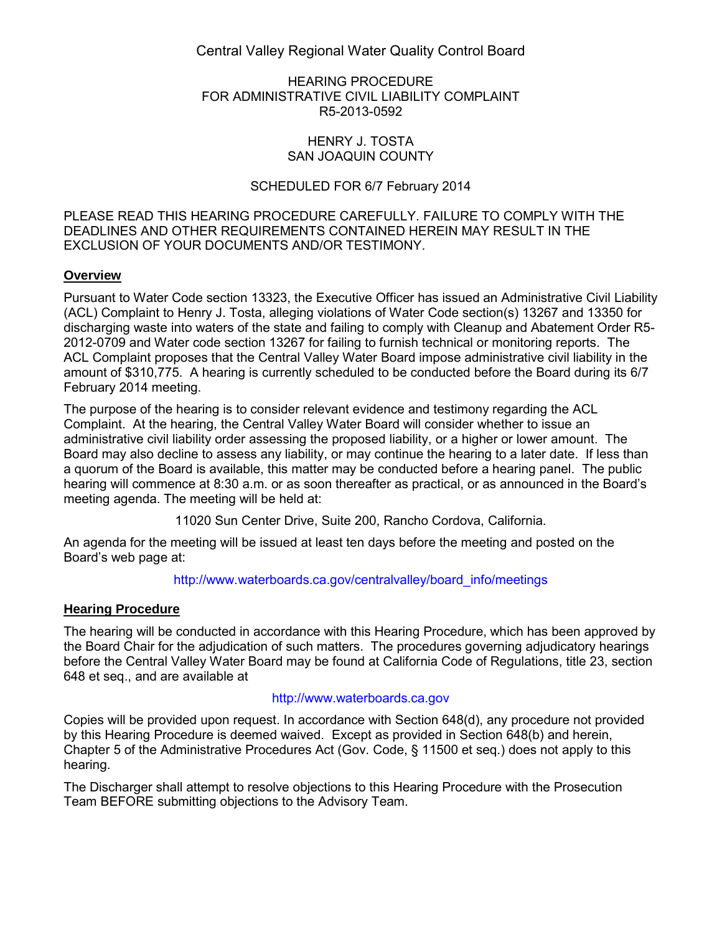Central Valley Regional Water Quality Control Board

#### HEARING PROCEDURE FOR ADMINISTRATIVE CIVIL LIABILITY COMPLAINT R5-2013-0592

#### HENRY J. TOSTA SAN JOAQUIN COUNTY

#### SCHEDULED FOR 6/7 February 2014

PLEASE READ THIS HEARING PROCEDURE CAREFULLY. FAILURE TO COMPLY WITH THE DEADLINES AND OTHER REQUIREMENTS CONTAINED HEREIN MAY RESULT IN THE EXCLUSION OF YOUR DOCUMENTS AND/OR TESTIMONY.

#### **Overview**

Pursuant to Water Code section 13323, the Executive Officer has issued an Administrative Civil Liability (ACL) Complaint to Henry J. Tosta, alleging violations of Water Code section(s) 13267 and 13350 for discharging waste into waters of the state and failing to comply with Cleanup and Abatement Order R5- 2012-0709 and Water code section 13267 for failing to furnish technical or monitoring reports. The ACL Complaint proposes that the Central Valley Water Board impose administrative civil liability in the amount of \$310,775. A hearing is currently scheduled to be conducted before the Board during its 6/7 February 2014 meeting.

The purpose of the hearing is to consider relevant evidence and testimony regarding the ACL Complaint. At the hearing, the Central Valley Water Board will consider whether to issue an administrative civil liability order assessing the proposed liability, or a higher or lower amount. The Board may also decline to assess any liability, or may continue the hearing to a later date. If less than a quorum of the Board is available, this matter may be conducted before a hearing panel. The public hearing will commence at 8:30 a.m. or as soon thereafter as practical, or as announced in the Board's meeting agenda. The meeting will be held at:

11020 Sun Center Drive, Suite 200, Rancho Cordova, California.

An agenda for the meeting will be issued at least ten days before the meeting and posted on the Board's web page at:

[http://www.waterboards.ca.gov/centralvalley/board\\_info/meetings](http://www.waterboards.ca.gov/centralvalley/board_info/meetings)

#### **Hearing Procedure**

The hearing will be conducted in accordance with this Hearing Procedure, which has been approved by the Board Chair for the adjudication of such matters. The procedures governing adjudicatory hearings before the Central Valley Water Board may be found at California Code of Regulations, title 23, section 648 et seq., and are available at

#### [http://www.waterboards.ca.gov](http://www.waterboards.ca.gov/)

Copies will be provided upon request. In accordance with Section 648(d), any procedure not provided by this Hearing Procedure is deemed waived. Except as provided in Section 648(b) and herein, Chapter 5 of the Administrative Procedures Act (Gov. Code, § 11500 et seq.) does not apply to this hearing.

The Discharger shall attempt to resolve objections to this Hearing Procedure with the Prosecution Team BEFORE submitting objections to the Advisory Team.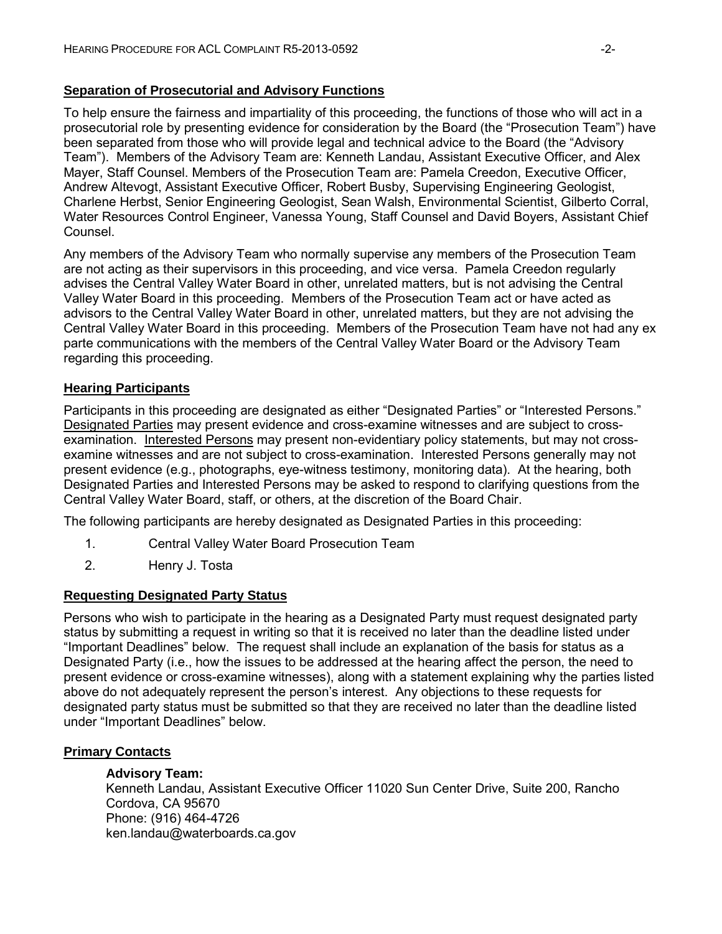#### **Separation of Prosecutorial and Advisory Functions**

To help ensure the fairness and impartiality of this proceeding, the functions of those who will act in a prosecutorial role by presenting evidence for consideration by the Board (the "Prosecution Team") have been separated from those who will provide legal and technical advice to the Board (the "Advisory Team"). Members of the Advisory Team are: Kenneth Landau, Assistant Executive Officer, and Alex Mayer, Staff Counsel. Members of the Prosecution Team are: Pamela Creedon, Executive Officer, Andrew Altevogt, Assistant Executive Officer, Robert Busby, Supervising Engineering Geologist, Charlene Herbst, Senior Engineering Geologist, Sean Walsh, Environmental Scientist, Gilberto Corral, Water Resources Control Engineer, Vanessa Young, Staff Counsel and David Boyers, Assistant Chief Counsel.

Any members of the Advisory Team who normally supervise any members of the Prosecution Team are not acting as their supervisors in this proceeding, and vice versa. Pamela Creedon regularly advises the Central Valley Water Board in other, unrelated matters, but is not advising the Central Valley Water Board in this proceeding. Members of the Prosecution Team act or have acted as advisors to the Central Valley Water Board in other, unrelated matters, but they are not advising the Central Valley Water Board in this proceeding. Members of the Prosecution Team have not had any ex parte communications with the members of the Central Valley Water Board or the Advisory Team regarding this proceeding.

#### **Hearing Participants**

Participants in this proceeding are designated as either "Designated Parties" or "Interested Persons." Designated Parties may present evidence and cross-examine witnesses and are subject to crossexamination. Interested Persons may present non-evidentiary policy statements, but may not crossexamine witnesses and are not subject to cross-examination. Interested Persons generally may not present evidence (e.g., photographs, eye-witness testimony, monitoring data). At the hearing, both Designated Parties and Interested Persons may be asked to respond to clarifying questions from the Central Valley Water Board, staff, or others, at the discretion of the Board Chair.

The following participants are hereby designated as Designated Parties in this proceeding:

- 1. Central Valley Water Board Prosecution Team
- 2. Henry J. Tosta

#### **Requesting Designated Party Status**

Persons who wish to participate in the hearing as a Designated Party must request designated party status by submitting a request in writing so that it is received no later than the deadline listed under "Important Deadlines" below. The request shall include an explanation of the basis for status as a Designated Party (i.e., how the issues to be addressed at the hearing affect the person, the need to present evidence or cross-examine witnesses), along with a statement explaining why the parties listed above do not adequately represent the person's interest. Any objections to these requests for designated party status must be submitted so that they are received no later than the deadline listed under "Important Deadlines" below.

#### **Primary Contacts**

#### **Advisory Team:**

Kenneth Landau, Assistant Executive Officer 11020 Sun Center Drive, Suite 200, Rancho Cordova, CA 95670 Phone: (916) 464-4726 ken.landau@waterboards.ca.gov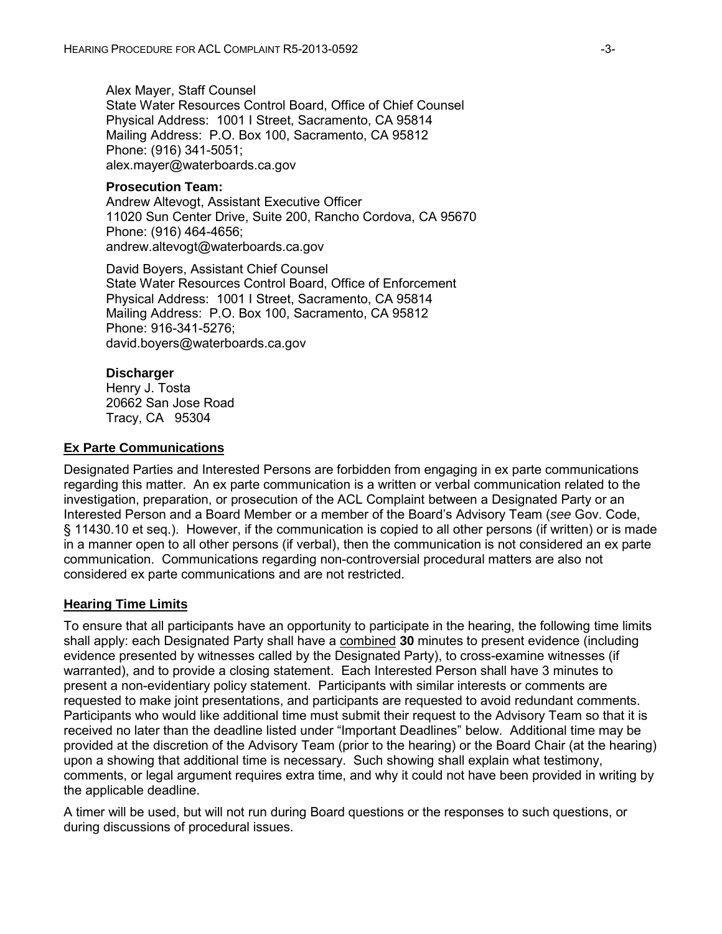Alex Mayer, Staff Counsel State Water Resources Control Board, Office of Chief Counsel Physical Address: 1001 I Street, Sacramento, CA 95814 Mailing Address: P.O. Box 100, Sacramento, CA 95812 Phone: (916) 341-5051; alex.mayer@waterboards.ca.gov

#### **Prosecution Team:**

Andrew Altevogt, Assistant Executive Officer 11020 Sun Center Drive, Suite 200, Rancho Cordova, CA 95670 Phone: (916) 464-4656; andrew.altevogt@waterboards.ca.gov

David Boyers, Assistant Chief Counsel State Water Resources Control Board, Office of Enforcement Physical Address: 1001 I Street, Sacramento, CA 95814 Mailing Address: P.O. Box 100, Sacramento, CA 95812 Phone: 916-341-5276; david.boyers@waterboards.ca.gov

#### **Discharger**

Henry J. Tosta 20662 San Jose Road Tracy, CA 95304

#### **Ex Parte Communications**

Designated Parties and Interested Persons are forbidden from engaging in ex parte communications regarding this matter. An ex parte communication is a written or verbal communication related to the investigation, preparation, or prosecution of the ACL Complaint between a Designated Party or an Interested Person and a Board Member or a member of the Board's Advisory Team (*see* Gov. Code, § 11430.10 et seq.). However, if the communication is copied to all other persons (if written) or is made in a manner open to all other persons (if verbal), then the communication is not considered an ex parte communication. Communications regarding non-controversial procedural matters are also not considered ex parte communications and are not restricted.

#### **Hearing Time Limits**

To ensure that all participants have an opportunity to participate in the hearing, the following time limits shall apply: each Designated Party shall have a combined **30** minutes to present evidence (including evidence presented by witnesses called by the Designated Party), to cross-examine witnesses (if warranted), and to provide a closing statement. Each Interested Person shall have 3 minutes to present a non-evidentiary policy statement. Participants with similar interests or comments are requested to make joint presentations, and participants are requested to avoid redundant comments. Participants who would like additional time must submit their request to the Advisory Team so that it is received no later than the deadline listed under "Important Deadlines" below. Additional time may be provided at the discretion of the Advisory Team (prior to the hearing) or the Board Chair (at the hearing) upon a showing that additional time is necessary. Such showing shall explain what testimony, comments, or legal argument requires extra time, and why it could not have been provided in writing by the applicable deadline.

A timer will be used, but will not run during Board questions or the responses to such questions, or during discussions of procedural issues.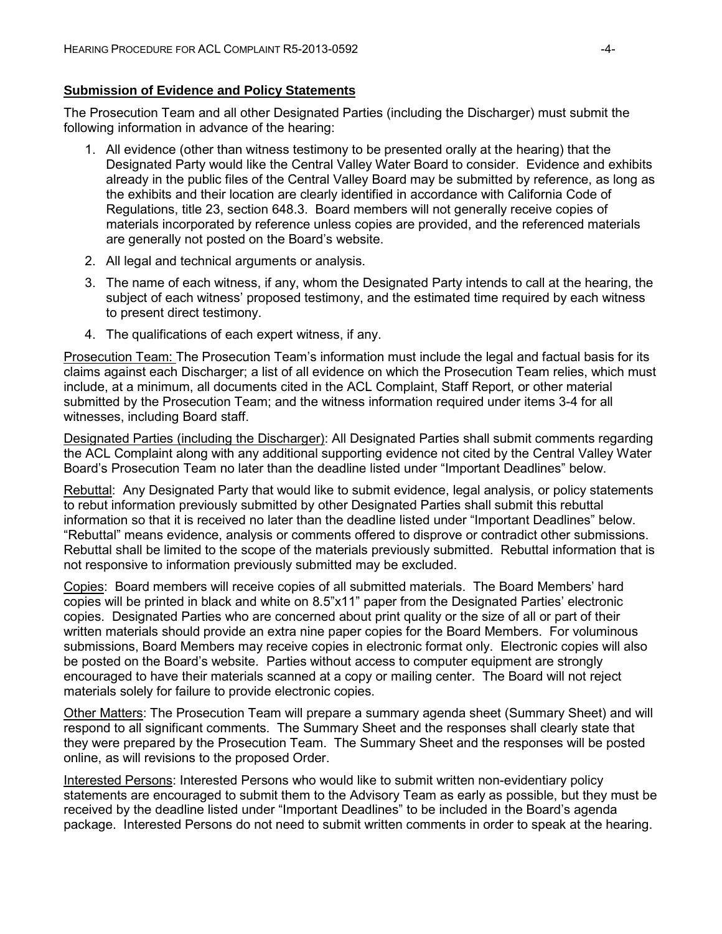#### **Submission of Evidence and Policy Statements**

The Prosecution Team and all other Designated Parties (including the Discharger) must submit the following information in advance of the hearing:

- 1. All evidence (other than witness testimony to be presented orally at the hearing) that the Designated Party would like the Central Valley Water Board to consider. Evidence and exhibits already in the public files of the Central Valley Board may be submitted by reference, as long as the exhibits and their location are clearly identified in accordance with California Code of Regulations, title 23, section 648.3. Board members will not generally receive copies of materials incorporated by reference unless copies are provided, and the referenced materials are generally not posted on the Board's website.
- 2. All legal and technical arguments or analysis.
- 3. The name of each witness, if any, whom the Designated Party intends to call at the hearing, the subject of each witness' proposed testimony, and the estimated time required by each witness to present direct testimony.
- 4. The qualifications of each expert witness, if any.

Prosecution Team: The Prosecution Team's information must include the legal and factual basis for its claims against each Discharger; a list of all evidence on which the Prosecution Team relies, which must include, at a minimum, all documents cited in the ACL Complaint, Staff Report, or other material submitted by the Prosecution Team; and the witness information required under items 3-4 for all witnesses, including Board staff.

Designated Parties (including the Discharger): All Designated Parties shall submit comments regarding the ACL Complaint along with any additional supporting evidence not cited by the Central Valley Water Board's Prosecution Team no later than the deadline listed under "Important Deadlines" below.

Rebuttal: Any Designated Party that would like to submit evidence, legal analysis, or policy statements to rebut information previously submitted by other Designated Parties shall submit this rebuttal information so that it is received no later than the deadline listed under "Important Deadlines" below. "Rebuttal" means evidence, analysis or comments offered to disprove or contradict other submissions. Rebuttal shall be limited to the scope of the materials previously submitted. Rebuttal information that is not responsive to information previously submitted may be excluded.

Copies: Board members will receive copies of all submitted materials. The Board Members' hard copies will be printed in black and white on 8.5"x11" paper from the Designated Parties' electronic copies. Designated Parties who are concerned about print quality or the size of all or part of their written materials should provide an extra nine paper copies for the Board Members. For voluminous submissions, Board Members may receive copies in electronic format only. Electronic copies will also be posted on the Board's website. Parties without access to computer equipment are strongly encouraged to have their materials scanned at a copy or mailing center. The Board will not reject materials solely for failure to provide electronic copies.

Other Matters: The Prosecution Team will prepare a summary agenda sheet (Summary Sheet) and will respond to all significant comments. The Summary Sheet and the responses shall clearly state that they were prepared by the Prosecution Team. The Summary Sheet and the responses will be posted online, as will revisions to the proposed Order.

Interested Persons: Interested Persons who would like to submit written non-evidentiary policy statements are encouraged to submit them to the Advisory Team as early as possible, but they must be received by the deadline listed under "Important Deadlines" to be included in the Board's agenda package. Interested Persons do not need to submit written comments in order to speak at the hearing.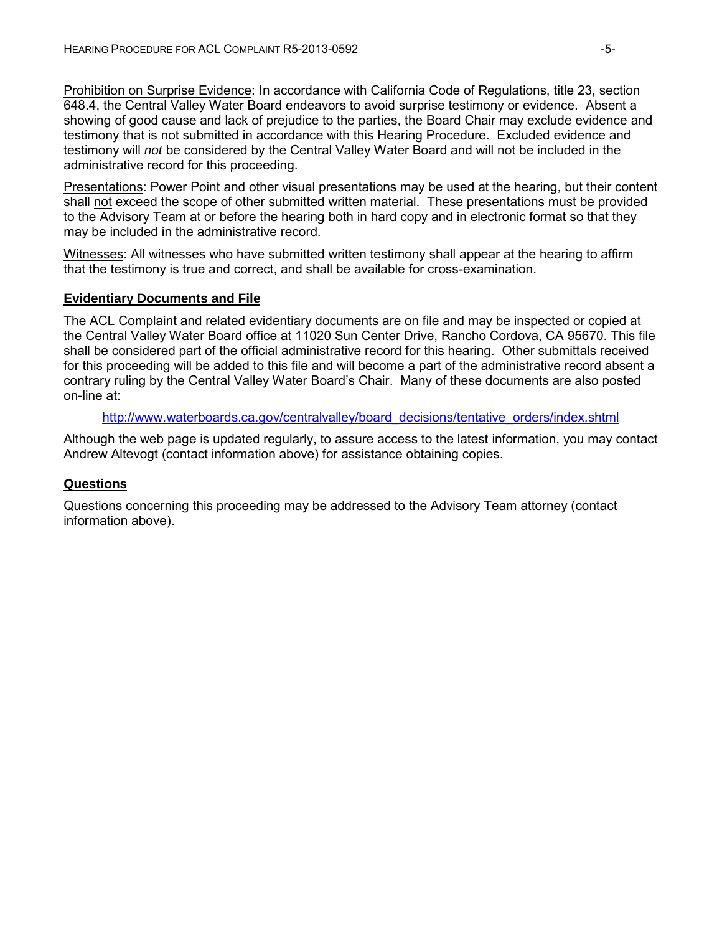Prohibition on Surprise Evidence: In accordance with California Code of Regulations, title 23, section 648.4, the Central Valley Water Board endeavors to avoid surprise testimony or evidence. Absent a showing of good cause and lack of prejudice to the parties, the Board Chair may exclude evidence and testimony that is not submitted in accordance with this Hearing Procedure. Excluded evidence and testimony will *not* be considered by the Central Valley Water Board and will not be included in the administrative record for this proceeding.

Presentations: Power Point and other visual presentations may be used at the hearing, but their content shall not exceed the scope of other submitted written material. These presentations must be provided to the Advisory Team at or before the hearing both in hard copy and in electronic format so that they may be included in the administrative record.

Witnesses: All witnesses who have submitted written testimony shall appear at the hearing to affirm that the testimony is true and correct, and shall be available for cross-examination.

#### **Evidentiary Documents and File**

The ACL Complaint and related evidentiary documents are on file and may be inspected or copied at the Central Valley Water Board office at 11020 Sun Center Drive, Rancho Cordova, CA 95670. This file shall be considered part of the official administrative record for this hearing. Other submittals received for this proceeding will be added to this file and will become a part of the administrative record absent a contrary ruling by the Central Valley Water Board's Chair. Many of these documents are also posted on-line at:

#### [http://www.waterboards.ca.gov/centralvalley/board\\_decisions/tentative\\_orders/index.shtml](http://www.waterboards.ca.gov/centralvalley/board_decisions/tentative_orders/index.shtml)

Although the web page is updated regularly, to assure access to the latest information, you may contact Andrew Altevogt (contact information above) for assistance obtaining copies.

#### **Questions**

Questions concerning this proceeding may be addressed to the Advisory Team attorney (contact information above).